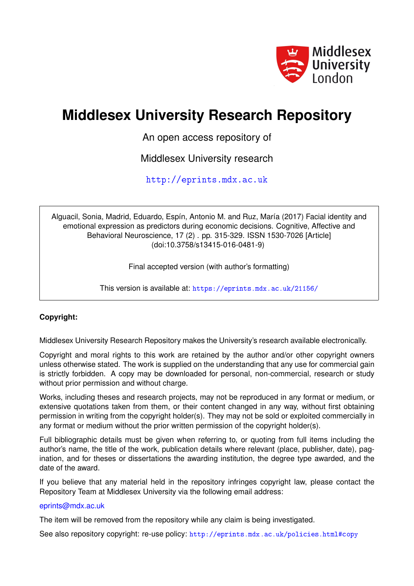

# **Middlesex University Research Repository**

An open access repository of

Middlesex University research

<http://eprints.mdx.ac.uk>

Alguacil, Sonia, Madrid, Eduardo, Espín, Antonio M. and Ruz, María (2017) Facial identity and emotional expression as predictors during economic decisions. Cognitive, Affective and Behavioral Neuroscience, 17 (2) . pp. 315-329. ISSN 1530-7026 [Article] (doi:10.3758/s13415-016-0481-9)

Final accepted version (with author's formatting)

This version is available at: <https://eprints.mdx.ac.uk/21156/>

# **Copyright:**

Middlesex University Research Repository makes the University's research available electronically.

Copyright and moral rights to this work are retained by the author and/or other copyright owners unless otherwise stated. The work is supplied on the understanding that any use for commercial gain is strictly forbidden. A copy may be downloaded for personal, non-commercial, research or study without prior permission and without charge.

Works, including theses and research projects, may not be reproduced in any format or medium, or extensive quotations taken from them, or their content changed in any way, without first obtaining permission in writing from the copyright holder(s). They may not be sold or exploited commercially in any format or medium without the prior written permission of the copyright holder(s).

Full bibliographic details must be given when referring to, or quoting from full items including the author's name, the title of the work, publication details where relevant (place, publisher, date), pagination, and for theses or dissertations the awarding institution, the degree type awarded, and the date of the award.

If you believe that any material held in the repository infringes copyright law, please contact the Repository Team at Middlesex University via the following email address:

# [eprints@mdx.ac.uk](mailto:eprints@mdx.ac.uk)

The item will be removed from the repository while any claim is being investigated.

See also repository copyright: re-use policy: <http://eprints.mdx.ac.uk/policies.html#copy>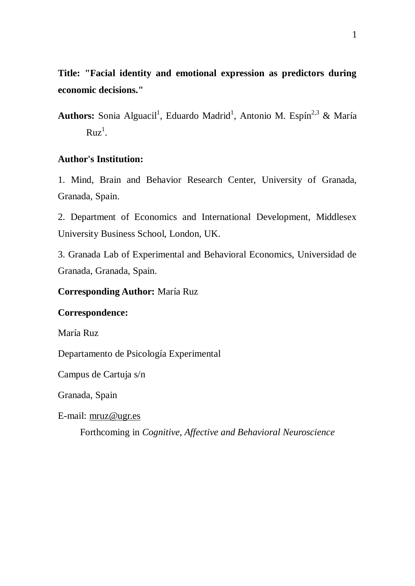**Title: "Facial identity and emotional expression as predictors during economic decisions."**

Authors: Sonia Alguacil<sup>1</sup>, Eduardo Madrid<sup>1</sup>, Antonio M. Espín<sup>2,3</sup> & María  $Ruz^1$ .

# **Author's Institution:**

1. Mind, Brain and Behavior Research Center, University of Granada, Granada, Spain.

2. Department of Economics and International Development, Middlesex University Business School, London, UK.

3. Granada Lab of Experimental and Behavioral Economics, Universidad de Granada, Granada, Spain.

## **Corresponding Author:** María Ruz

#### **Correspondence:**

María Ruz

Departamento de Psicología Experimental

Campus de Cartuja s/n

Granada, Spain

E-mail: [mruz@ugr.es](mailto:mruz@ugr.es)

Forthcoming in *Cognitive, Affective and Behavioral Neuroscience*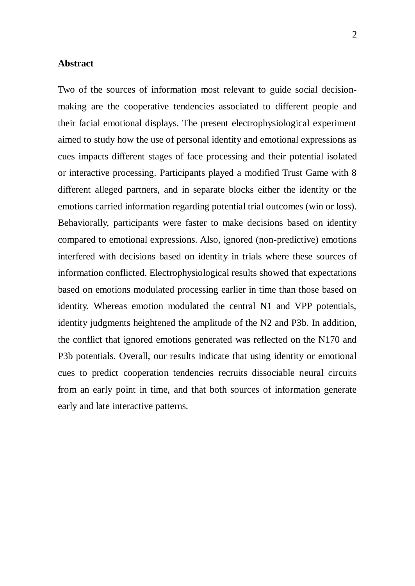### **Abstract**

Two of the sources of information most relevant to guide social decisionmaking are the cooperative tendencies associated to different people and their facial emotional displays. The present electrophysiological experiment aimed to study how the use of personal identity and emotional expressions as cues impacts different stages of face processing and their potential isolated or interactive processing. Participants played a modified Trust Game with 8 different alleged partners, and in separate blocks either the identity or the emotions carried information regarding potential trial outcomes (win or loss). Behaviorally, participants were faster to make decisions based on identity compared to emotional expressions. Also, ignored (non-predictive) emotions interfered with decisions based on identity in trials where these sources of information conflicted. Electrophysiological results showed that expectations based on emotions modulated processing earlier in time than those based on identity. Whereas emotion modulated the central N1 and VPP potentials, identity judgments heightened the amplitude of the N2 and P3b. In addition, the conflict that ignored emotions generated was reflected on the N170 and P3b potentials. Overall, our results indicate that using identity or emotional cues to predict cooperation tendencies recruits dissociable neural circuits from an early point in time, and that both sources of information generate early and late interactive patterns.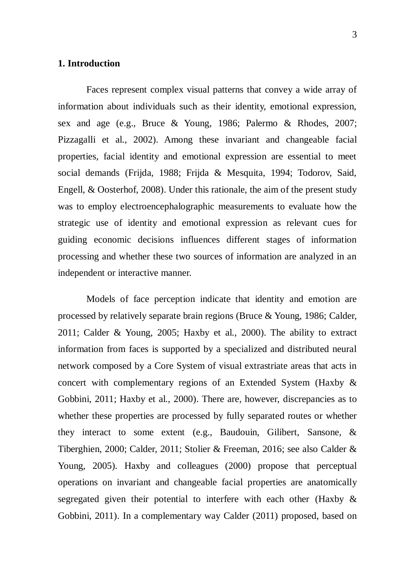## **1. Introduction**

Faces represent complex visual patterns that convey a wide array of information about individuals such as their identity, emotional expression, sex and age (e.g., Bruce & Young, 1986; Palermo & Rhodes, 2007; Pizzagalli et al., 2002). Among these invariant and changeable facial properties, facial identity and emotional expression are essential to meet social demands (Frijda, 1988; Frijda & Mesquita, 1994; Todorov, Said, Engell, & Oosterhof, 2008). Under this rationale, the aim of the present study was to employ electroencephalographic measurements to evaluate how the strategic use of identity and emotional expression as relevant cues for guiding economic decisions influences different stages of information processing and whether these two sources of information are analyzed in an independent or interactive manner.

Models of face perception indicate that identity and emotion are processed by relatively separate brain regions (Bruce & Young, 1986; Calder, 2011; Calder & Young, 2005; Haxby et al., 2000). The ability to extract information from faces is supported by a specialized and distributed neural network composed by a Core System of visual extrastriate areas that acts in concert with complementary regions of an Extended System (Haxby & Gobbini, 2011; Haxby et al., 2000). There are, however, discrepancies as to whether these properties are processed by fully separated routes or whether they interact to some extent (e.g., Baudouin, Gilibert, Sansone, & Tiberghien, 2000; Calder, 2011; Stolier & Freeman, 2016; see also Calder & Young, 2005). Haxby and colleagues (2000) propose that perceptual operations on invariant and changeable facial properties are anatomically segregated given their potential to interfere with each other (Haxby & Gobbini, 2011). In a complementary way Calder (2011) proposed, based on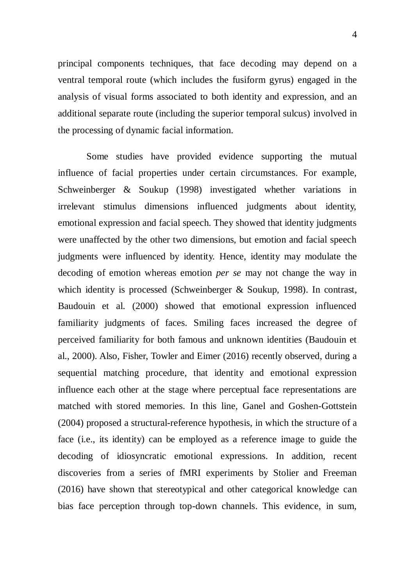principal components techniques, that face decoding may depend on a ventral temporal route (which includes the fusiform gyrus) engaged in the analysis of visual forms associated to both identity and expression, and an additional separate route (including the superior temporal sulcus) involved in the processing of dynamic facial information.

Some studies have provided evidence supporting the mutual influence of facial properties under certain circumstances. For example, Schweinberger & Soukup (1998) investigated whether variations in irrelevant stimulus dimensions influenced judgments about identity, emotional expression and facial speech. They showed that identity judgments were unaffected by the other two dimensions, but emotion and facial speech judgments were influenced by identity. Hence, identity may modulate the decoding of emotion whereas emotion *per se* may not change the way in which identity is processed (Schweinberger & Soukup, 1998). In contrast, Baudouin et al. (2000) showed that emotional expression influenced familiarity judgments of faces. Smiling faces increased the degree of perceived familiarity for both famous and unknown identities (Baudouin et al., 2000). Also, Fisher, Towler and Eimer (2016) recently observed, during a sequential matching procedure, that identity and emotional expression influence each other at the stage where perceptual face representations are matched with stored memories. In this line, Ganel and Goshen-Gottstein (2004) proposed a structural-reference hypothesis, in which the structure of a face (i.e., its identity) can be employed as a reference image to guide the decoding of idiosyncratic emotional expressions. In addition, recent discoveries from a series of fMRI experiments by Stolier and Freeman (2016) have shown that stereotypical and other categorical knowledge can bias face perception through top-down channels. This evidence, in sum,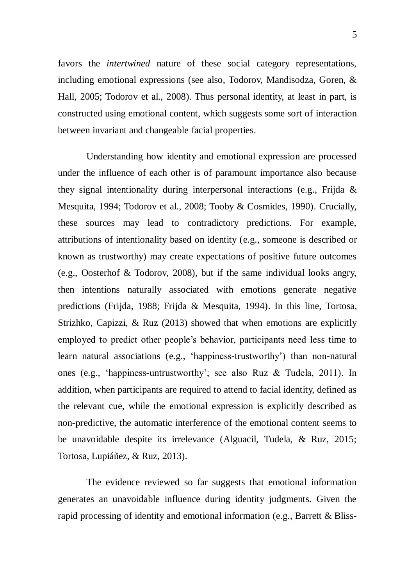favors the *intertwined* nature of these social category representations, including emotional expressions (see also, Todorov, Mandisodza, Goren, & Hall, 2005; Todorov et al., 2008). Thus personal identity, at least in part, is constructed using emotional content, which suggests some sort of interaction between invariant and changeable facial properties.

Understanding how identity and emotional expression are processed under the influence of each other is of paramount importance also because they signal intentionality during interpersonal interactions (e.g., Frijda & Mesquita, 1994; Todorov et al., 2008; Tooby & Cosmides, 1990). Crucially, these sources may lead to contradictory predictions. For example, attributions of intentionality based on identity (e.g., someone is described or known as trustworthy) may create expectations of positive future outcomes (e.g., Oosterhof & Todorov, 2008), but if the same individual looks angry, then intentions naturally associated with emotions generate negative predictions (Frijda, 1988; Frijda & Mesquita, 1994). In this line, Tortosa, Strizhko, Capizzi, & Ruz (2013) showed that when emotions are explicitly employed to predict other people's behavior, participants need less time to learn natural associations (e.g., 'happiness-trustworthy') than non-natural ones (e.g., 'happiness-untrustworthy'; see also Ruz & Tudela, 2011). In addition, when participants are required to attend to facial identity, defined as the relevant cue, while the emotional expression is explicitly described as non-predictive, the automatic interference of the emotional content seems to be unavoidable despite its irrelevance (Alguacil, Tudela, & Ruz, 2015; Tortosa, Lupiáñez, & Ruz, 2013).

The evidence reviewed so far suggests that emotional information generates an unavoidable influence during identity judgments. Given the rapid processing of identity and emotional information (e.g., Barrett & Bliss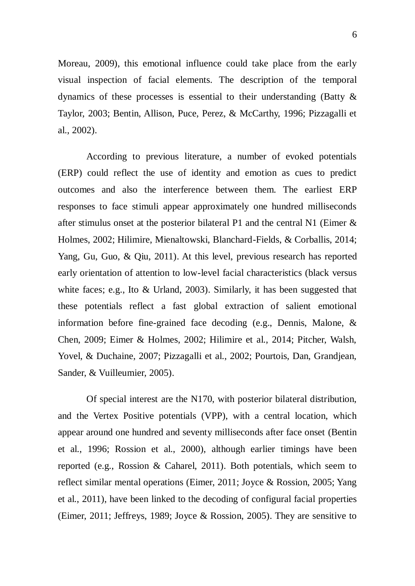Moreau, 2009), this emotional influence could take place from the early visual inspection of facial elements. The description of the temporal dynamics of these processes is essential to their understanding (Batty & Taylor, 2003; Bentin, Allison, Puce, Perez, & McCarthy, 1996; Pizzagalli et al., 2002).

According to previous literature, a number of evoked potentials (ERP) could reflect the use of identity and emotion as cues to predict outcomes and also the interference between them. The earliest ERP responses to face stimuli appear approximately one hundred milliseconds after stimulus onset at the posterior bilateral P1 and the central N1 (Eimer & Holmes, 2002; Hilimire, Mienaltowski, Blanchard-Fields, & Corballis, 2014; Yang, Gu, Guo, & Qiu, 2011). At this level, previous research has reported early orientation of attention to low-level facial characteristics (black versus white faces; e.g., Ito & Urland, 2003). Similarly, it has been suggested that these potentials reflect a fast global extraction of salient emotional information before fine-grained face decoding (e.g., Dennis, Malone, & Chen, 2009; Eimer & Holmes, 2002; Hilimire et al., 2014; Pitcher, Walsh, Yovel, & Duchaine, 2007; Pizzagalli et al., 2002; Pourtois, Dan, Grandjean, Sander, & Vuilleumier, 2005).

Of special interest are the N170, with posterior bilateral distribution, and the Vertex Positive potentials (VPP), with a central location, which appear around one hundred and seventy milliseconds after face onset (Bentin et al., 1996; Rossion et al., 2000), although earlier timings have been reported (e.g., Rossion & Caharel, 2011). Both potentials, which seem to reflect similar mental operations (Eimer, 2011; Joyce & Rossion, 2005; Yang et al., 2011), have been linked to the decoding of configural facial properties (Eimer, 2011; Jeffreys, 1989; Joyce & Rossion, 2005). They are sensitive to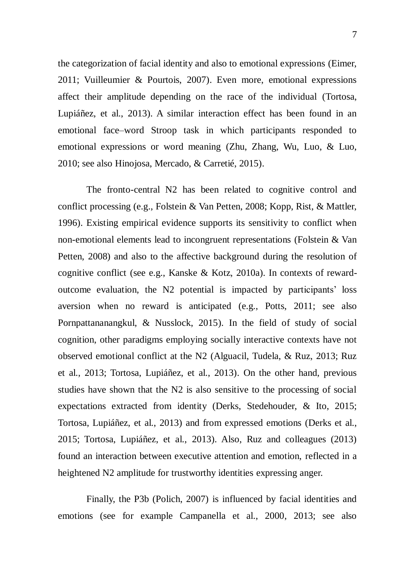the categorization of facial identity and also to emotional expressions (Eimer, 2011; Vuilleumier & Pourtois, 2007). Even more, emotional expressions affect their amplitude depending on the race of the individual (Tortosa, Lupiáñez, et al., 2013). A similar interaction effect has been found in an emotional face–word Stroop task in which participants responded to emotional expressions or word meaning (Zhu, Zhang, Wu, Luo, & Luo, 2010; see also Hinojosa, Mercado, & Carretié, 2015).

The fronto-central N2 has been related to cognitive control and conflict processing (e.g., Folstein & Van Petten, 2008; Kopp, Rist, & Mattler, 1996). Existing empirical evidence supports its sensitivity to conflict when non-emotional elements lead to incongruent representations (Folstein & Van Petten, 2008) and also to the affective background during the resolution of cognitive conflict (see e.g., Kanske & Kotz, 2010a). In contexts of rewardoutcome evaluation, the N2 potential is impacted by participants' loss aversion when no reward is anticipated (e.g., Potts, 2011; see also Pornpattananangkul, & Nusslock, 2015). In the field of study of social cognition, other paradigms employing socially interactive contexts have not observed emotional conflict at the N2 (Alguacil, Tudela, & Ruz, 2013; Ruz et al., 2013; Tortosa, Lupiáñez, et al., 2013). On the other hand, previous studies have shown that the N2 is also sensitive to the processing of social expectations extracted from identity (Derks, Stedehouder, & Ito, 2015; Tortosa, Lupiáñez, et al., 2013) and from expressed emotions (Derks et al., 2015; Tortosa, Lupiáñez, et al., 2013). Also, Ruz and colleagues (2013) found an interaction between executive attention and emotion, reflected in a heightened N2 amplitude for trustworthy identities expressing anger.

Finally, the P3b (Polich, 2007) is influenced by facial identities and emotions (see for example Campanella et al., 2000, 2013; see also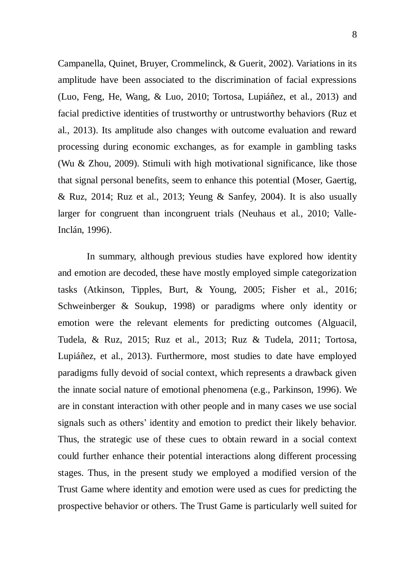Campanella, Quinet, Bruyer, Crommelinck, & Guerit, 2002). Variations in its amplitude have been associated to the discrimination of facial expressions (Luo, Feng, He, Wang, & Luo, 2010; Tortosa, Lupiáñez, et al., 2013) and facial predictive identities of trustworthy or untrustworthy behaviors (Ruz et al., 2013). Its amplitude also changes with outcome evaluation and reward processing during economic exchanges, as for example in gambling tasks (Wu & Zhou, 2009). Stimuli with high motivational significance, like those that signal personal benefits, seem to enhance this potential (Moser, Gaertig,  $& Ruz, 2014$ ; Ruz et al., 2013; Yeung  $& Sanfev, 2004$ ). It is also usually larger for congruent than incongruent trials (Neuhaus et al., 2010; Valle-Inclán, 1996).

In summary, although previous studies have explored how identity and emotion are decoded, these have mostly employed simple categorization tasks (Atkinson, Tipples, Burt, & Young, 2005; Fisher et al., 2016; Schweinberger & Soukup, 1998) or paradigms where only identity or emotion were the relevant elements for predicting outcomes (Alguacil, Tudela, & Ruz, 2015; Ruz et al., 2013; Ruz & Tudela, 2011; Tortosa, Lupiáñez, et al., 2013). Furthermore, most studies to date have employed paradigms fully devoid of social context, which represents a drawback given the innate social nature of emotional phenomena (e.g., Parkinson, 1996). We are in constant interaction with other people and in many cases we use social signals such as others' identity and emotion to predict their likely behavior. Thus, the strategic use of these cues to obtain reward in a social context could further enhance their potential interactions along different processing stages. Thus, in the present study we employed a modified version of the Trust Game where identity and emotion were used as cues for predicting the prospective behavior or others. The Trust Game is particularly well suited for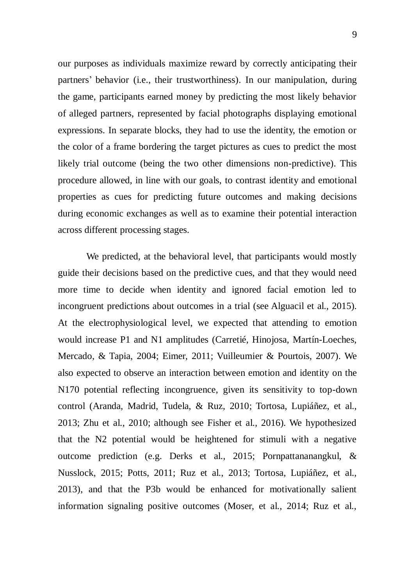our purposes as individuals maximize reward by correctly anticipating their partners' behavior (i.e., their trustworthiness). In our manipulation, during the game, participants earned money by predicting the most likely behavior of alleged partners, represented by facial photographs displaying emotional expressions. In separate blocks, they had to use the identity, the emotion or the color of a frame bordering the target pictures as cues to predict the most likely trial outcome (being the two other dimensions non-predictive). This procedure allowed, in line with our goals, to contrast identity and emotional properties as cues for predicting future outcomes and making decisions during economic exchanges as well as to examine their potential interaction across different processing stages.

We predicted, at the behavioral level, that participants would mostly guide their decisions based on the predictive cues, and that they would need more time to decide when identity and ignored facial emotion led to incongruent predictions about outcomes in a trial (see Alguacil et al., 2015). At the electrophysiological level, we expected that attending to emotion would increase P1 and N1 amplitudes (Carretié, Hinojosa, Martín-Loeches, Mercado, & Tapia, 2004; Eimer, 2011; Vuilleumier & Pourtois, 2007). We also expected to observe an interaction between emotion and identity on the N170 potential reflecting incongruence, given its sensitivity to top-down control (Aranda, Madrid, Tudela, & Ruz, 2010; Tortosa, Lupiáñez, et al., 2013; Zhu et al., 2010; although see Fisher et al., 2016). We hypothesized that the N2 potential would be heightened for stimuli with a negative outcome prediction (e.g. Derks et al., 2015; Pornpattananangkul, & Nusslock, 2015; Potts, 2011; Ruz et al., 2013; Tortosa, Lupiáñez, et al., 2013), and that the P3b would be enhanced for motivationally salient information signaling positive outcomes (Moser, et al., 2014; Ruz et al.,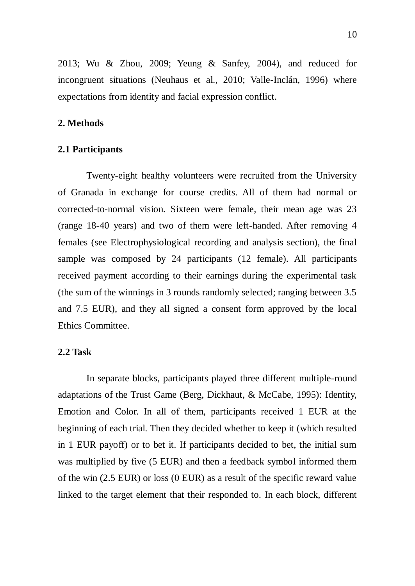2013; Wu & Zhou, 2009; Yeung & Sanfey, 2004), and reduced for incongruent situations (Neuhaus et al., 2010; Valle-Inclán, 1996) where expectations from identity and facial expression conflict.

#### **2. Methods**

#### **2.1 Participants**

Twenty-eight healthy volunteers were recruited from the University of Granada in exchange for course credits. All of them had normal or corrected-to-normal vision. Sixteen were female, their mean age was 23 (range 18-40 years) and two of them were left-handed. After removing 4 females (see Electrophysiological recording and analysis section), the final sample was composed by 24 participants (12 female). All participants received payment according to their earnings during the experimental task (the sum of the winnings in 3 rounds randomly selected; ranging between 3.5 and 7.5 EUR), and they all signed a consent form approved by the local Ethics Committee.

#### **2.2 Task**

In separate blocks, participants played three different multiple-round adaptations of the Trust Game (Berg, Dickhaut, & McCabe, 1995): Identity, Emotion and Color. In all of them, participants received 1 EUR at the beginning of each trial. Then they decided whether to keep it (which resulted in 1 EUR payoff) or to bet it. If participants decided to bet, the initial sum was multiplied by five (5 EUR) and then a feedback symbol informed them of the win (2.5 EUR) or loss (0 EUR) as a result of the specific reward value linked to the target element that their responded to. In each block, different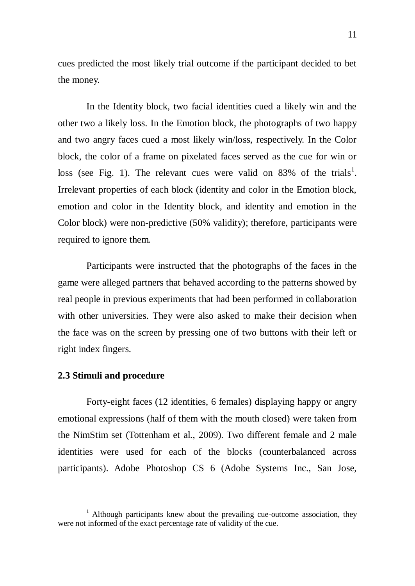cues predicted the most likely trial outcome if the participant decided to bet the money.

In the Identity block, two facial identities cued a likely win and the other two a likely loss. In the Emotion block, the photographs of two happy and two angry faces cued a most likely win/loss, respectively. In the Color block, the color of a frame on pixelated faces served as the cue for win or loss (see Fig. 1). The relevant cues were valid on 83% of the trials<sup>1</sup>. Irrelevant properties of each block (identity and color in the Emotion block, emotion and color in the Identity block, and identity and emotion in the Color block) were non-predictive (50% validity); therefore, participants were required to ignore them.

Participants were instructed that the photographs of the faces in the game were alleged partners that behaved according to the patterns showed by real people in previous experiments that had been performed in collaboration with other universities. They were also asked to make their decision when the face was on the screen by pressing one of two buttons with their left or right index fingers.

#### **2.3 Stimuli and procedure**

 $\overline{a}$ 

Forty-eight faces (12 identities, 6 females) displaying happy or angry emotional expressions (half of them with the mouth closed) were taken from the NimStim set (Tottenham et al., 2009). Two different female and 2 male identities were used for each of the blocks (counterbalanced across participants). Adobe Photoshop CS 6 (Adobe Systems Inc., San Jose,

 $1$  Although participants knew about the prevailing cue-outcome association, they were not informed of the exact percentage rate of validity of the cue.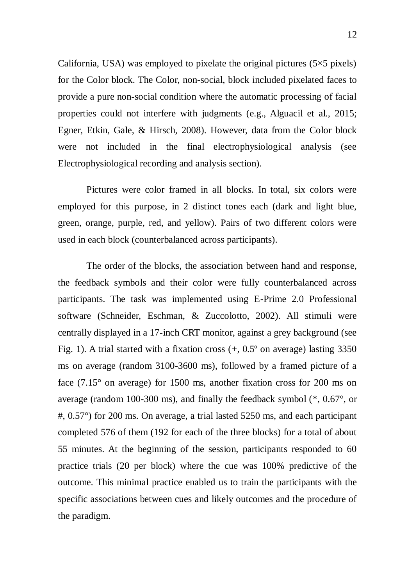California, USA) was employed to pixelate the original pictures  $(5\times5$  pixels) for the Color block. The Color, non-social, block included pixelated faces to provide a pure non-social condition where the automatic processing of facial properties could not interfere with judgments (e.g., Alguacil et al., 2015; Egner, Etkin, Gale, & Hirsch, 2008). However, data from the Color block were not included in the final electrophysiological analysis (see Electrophysiological recording and analysis section).

Pictures were color framed in all blocks. In total, six colors were employed for this purpose, in 2 distinct tones each (dark and light blue, green, orange, purple, red, and yellow). Pairs of two different colors were used in each block (counterbalanced across participants).

The order of the blocks, the association between hand and response, the feedback symbols and their color were fully counterbalanced across participants. The task was implemented using E-Prime 2.0 Professional software (Schneider, Eschman, & Zuccolotto, 2002). All stimuli were centrally displayed in a 17-inch CRT monitor, against a grey background (see Fig. 1). A trial started with a fixation cross  $(+, 0.5^{\circ})$  on average) lasting 3350 ms on average (random 3100-3600 ms), followed by a framed picture of a face  $(7.15^{\circ}$  on average) for 1500 ms, another fixation cross for 200 ms on average (random 100-300 ms), and finally the feedback symbol (\*, 0.67°, or #, 0.57°) for 200 ms. On average, a trial lasted 5250 ms, and each participant completed 576 of them (192 for each of the three blocks) for a total of about 55 minutes. At the beginning of the session, participants responded to 60 practice trials (20 per block) where the cue was 100% predictive of the outcome. This minimal practice enabled us to train the participants with the specific associations between cues and likely outcomes and the procedure of the paradigm.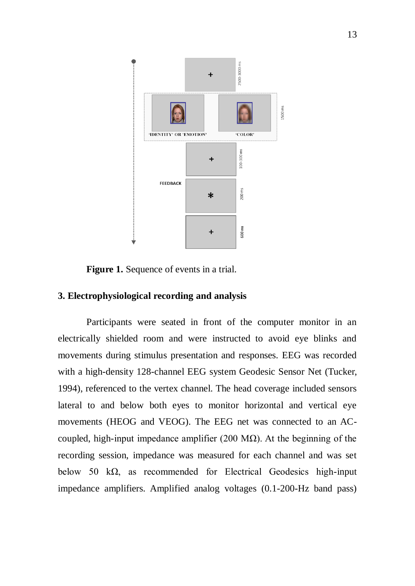

**Figure 1.** Sequence of events in a trial.

## **3. Electrophysiological recording and analysis**

Participants were seated in front of the computer monitor in an electrically shielded room and were instructed to avoid eye blinks and movements during stimulus presentation and responses. EEG was recorded with a high-density 128-channel EEG system Geodesic Sensor Net (Tucker, 1994), referenced to the vertex channel. The head coverage included sensors lateral to and below both eyes to monitor horizontal and vertical eye movements (HEOG and VEOG). The EEG net was connected to an ACcoupled, high-input impedance amplifier (200 MΩ). At the beginning of the recording session, impedance was measured for each channel and was set below 50 kΩ, as recommended for Electrical Geodesics high-input impedance amplifiers. Amplified analog voltages (0.1-200-Hz band pass)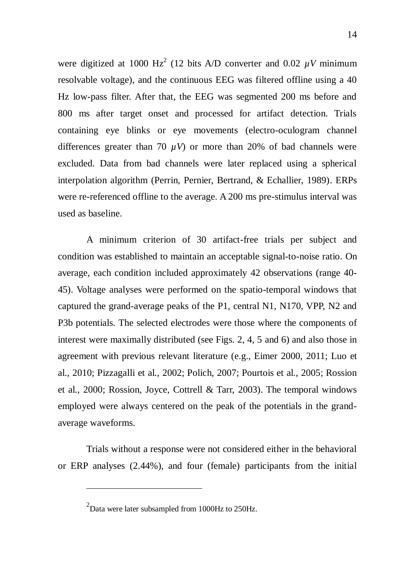were digitized at 1000  $Hz^2$  (12 bits A/D converter and 0.02  $\mu$ V minimum resolvable voltage), and the continuous EEG was filtered offline using a 40 Hz low-pass filter. After that, the EEG was segmented 200 ms before and 800 ms after target onset and processed for artifact detection. Trials containing eye blinks or eye movements (electro-oculogram channel differences greater than 70  $\mu$ V) or more than 20% of bad channels were excluded. Data from bad channels were later replaced using a spherical interpolation algorithm (Perrin, Pernier, Bertrand, & Echallier, 1989). ERPs were re-referenced offline to the average. A 200 ms pre-stimulus interval was used as baseline.

A minimum criterion of 30 artifact-free trials per subject and condition was established to maintain an acceptable signal-to-noise ratio. On average, each condition included approximately 42 observations (range 40- 45). Voltage analyses were performed on the spatio-temporal windows that captured the grand-average peaks of the P1, central N1, N170, VPP, N2 and P3b potentials. The selected electrodes were those where the components of interest were maximally distributed (see Figs. 2, 4, 5 and 6) and also those in agreement with previous relevant literature (e.g., Eimer 2000, 2011; Luo et al., 2010; Pizzagalli et al., 2002; Polich, 2007; Pourtois et al., 2005; Rossion et al., 2000; Rossion, Joyce, Cottrell & Tarr, 2003). The temporal windows employed were always centered on the peak of the potentials in the grandaverage waveforms.

Trials without a response were not considered either in the behavioral or ERP analyses (2.44%), and four (female) participants from the initial

 $\overline{a}$ 

 $^{2}$ Data were later subsampled from 1000Hz to 250Hz.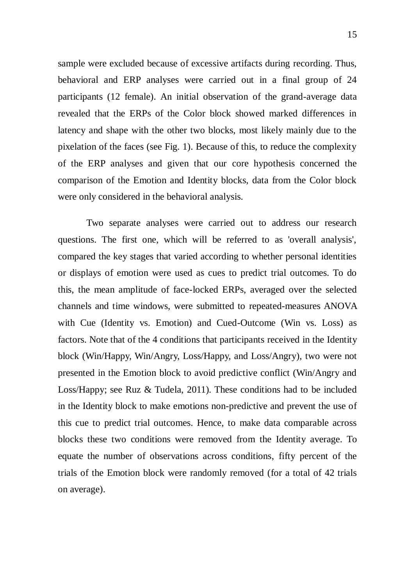sample were excluded because of excessive artifacts during recording. Thus, behavioral and ERP analyses were carried out in a final group of 24 participants (12 female). An initial observation of the grand-average data revealed that the ERPs of the Color block showed marked differences in latency and shape with the other two blocks, most likely mainly due to the pixelation of the faces (see Fig. 1). Because of this, to reduce the complexity of the ERP analyses and given that our core hypothesis concerned the comparison of the Emotion and Identity blocks, data from the Color block were only considered in the behavioral analysis.

Two separate analyses were carried out to address our research questions. The first one, which will be referred to as 'overall analysis', compared the key stages that varied according to whether personal identities or displays of emotion were used as cues to predict trial outcomes. To do this, the mean amplitude of face-locked ERPs, averaged over the selected channels and time windows, were submitted to repeated-measures ANOVA with Cue (Identity vs. Emotion) and Cued-Outcome (Win vs. Loss) as factors. Note that of the 4 conditions that participants received in the Identity block (Win/Happy, Win/Angry, Loss/Happy, and Loss/Angry), two were not presented in the Emotion block to avoid predictive conflict (Win/Angry and Loss/Happy; see Ruz & Tudela, 2011). These conditions had to be included in the Identity block to make emotions non-predictive and prevent the use of this cue to predict trial outcomes. Hence, to make data comparable across blocks these two conditions were removed from the Identity average. To equate the number of observations across conditions, fifty percent of the trials of the Emotion block were randomly removed (for a total of 42 trials on average).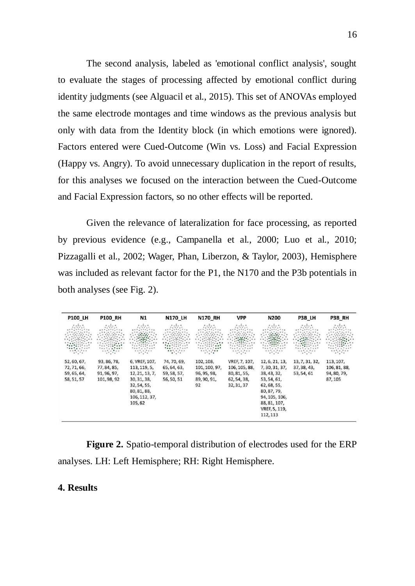The second analysis, labeled as 'emotional conflict analysis', sought to evaluate the stages of processing affected by emotional conflict during identity judgments (see Alguacil et al., 2015). This set of ANOVAs employed the same electrode montages and time windows as the previous analysis but only with data from the Identity block (in which emotions were ignored). Factors entered were Cued-Outcome (Win vs. Loss) and Facial Expression (Happy vs. Angry). To avoid unnecessary duplication in the report of results, for this analyses we focused on the interaction between the Cued-Outcome and Facial Expression factors, so no other effects will be reported.

Given the relevance of lateralization for face processing, as reported by previous evidence (e.g., Campanella et al., 2000; Luo et al., 2010; Pizzagalli et al., 2002; Wager, Phan, Liberzon, & Taylor, 2003), Hemisphere was included as relevant factor for the P1, the N170 and the P3b potentials in both analyses (see Fig. 2).

| <b>P100 LH</b>                                                   | <b>P100 RH</b>                                   | N1              | <b>N170 LH</b>                   | N170 RH                                                   | <b>VPP</b>    | <b>N200</b>    | P3B LH                                   | P3B RH                                                                                                                                                                                                                                                                                                                                                                                                                                                                                                                |
|------------------------------------------------------------------|--------------------------------------------------|-----------------|----------------------------------|-----------------------------------------------------------|---------------|----------------|------------------------------------------|-----------------------------------------------------------------------------------------------------------------------------------------------------------------------------------------------------------------------------------------------------------------------------------------------------------------------------------------------------------------------------------------------------------------------------------------------------------------------------------------------------------------------|
| 4.444<br><b>SEREE</b><br>$\mathcal{L}^{\text{max}}_{\text{max}}$ | 5.9777<br>$\mathcal{O}(\mathcal{O}_\mathcal{O})$ | .1.1.<br>5.15.1 | 1.1.1<br>1.11.1<br>1988<br>1.144 | 1.1.1<br>1.11.1<br>$\mathcal{O}(\mathcal{O}_\mathcal{O})$ | 4,550         | .<br>1.11.1    | 7.1.7<br>1.11.1<br>1888<br><b>SANCES</b> | 1.1.1<br>1.11.1<br>SSB<br>$\begin{aligned} \mathcal{L}_{\mathcal{F}}(\mathcal{F}_{\mathcal{F}}^{\mathcal{F}}(\mathcal{F}_{\mathcal{F}}^{\mathcal{F}})) = \mathcal{L}_{\mathcal{F}}(\mathcal{F}_{\mathcal{F}}^{\mathcal{F}}(\mathcal{F}_{\mathcal{F}}^{\mathcal{F}})) = \mathcal{L}_{\mathcal{F}}(\mathcal{F}_{\mathcal{F}}^{\mathcal{F}}(\mathcal{F}_{\mathcal{F}}^{\mathcal{F}})) = \mathcal{L}_{\mathcal{F}}(\mathcal{F}_{\mathcal{F}}^{\mathcal{F}}(\mathcal{F}_{\mathcal{F}}^{\mathcal{F}}(\mathcal{F}_{\mathcal$ |
| 52, 60, 67,                                                      | 93, 86, 78,                                      | 6, VREF, 107,   | 74, 70, 69,                      | 102, 108,                                                 | VREF, 7, 107, | 12, 6, 21, 13, | 13, 7, 31, 32,                           | 113, 107,                                                                                                                                                                                                                                                                                                                                                                                                                                                                                                             |
| 72, 71, 66,                                                      | 77, 84, 85,                                      | 113, 119, 5,    | 65, 64, 63,                      | 101, 100, 97,                                             | 106, 105, 88, | 7, 30, 31, 37, | 37, 38, 43,                              | 106, 81, 88,                                                                                                                                                                                                                                                                                                                                                                                                                                                                                                          |
| 59, 65, 64,                                                      | 91, 96, 97,                                      | 12, 21, 13, 7,  | 59, 58, 57,                      | 96, 95, 98,                                               | 80, 81, 55,   | 38, 43, 32,    | 53, 54, 61                               | 94, 80, 79,                                                                                                                                                                                                                                                                                                                                                                                                                                                                                                           |
| 58, 51, 57                                                       | 101, 98, 92                                      | 30, 31, 38,     | 56, 50, 51                       | 89, 90, 91,                                               | 62, 54, 38,   | 53, 54, 61,    |                                          | 87,105                                                                                                                                                                                                                                                                                                                                                                                                                                                                                                                |
|                                                                  |                                                  | 32, 54, 55,     |                                  | 92                                                        | 32, 31, 37    | 62, 68, 55,    |                                          |                                                                                                                                                                                                                                                                                                                                                                                                                                                                                                                       |
|                                                                  |                                                  | 80, 81, 88,     |                                  |                                                           |               | 80, 87, 79,    |                                          |                                                                                                                                                                                                                                                                                                                                                                                                                                                                                                                       |
|                                                                  |                                                  | 106, 112, 37,   |                                  |                                                           |               | 94, 105, 106,  |                                          |                                                                                                                                                                                                                                                                                                                                                                                                                                                                                                                       |
|                                                                  |                                                  | 105,62          |                                  |                                                           |               | 88, 81, 107,   |                                          |                                                                                                                                                                                                                                                                                                                                                                                                                                                                                                                       |
|                                                                  |                                                  |                 |                                  |                                                           |               | VREF, 5, 119,  |                                          |                                                                                                                                                                                                                                                                                                                                                                                                                                                                                                                       |
|                                                                  |                                                  |                 |                                  |                                                           |               | 112, 113       |                                          |                                                                                                                                                                                                                                                                                                                                                                                                                                                                                                                       |

**Figure 2.** Spatio-temporal distribution of electrodes used for the ERP analyses. LH: Left Hemisphere; RH: Right Hemisphere.

## **4. Results**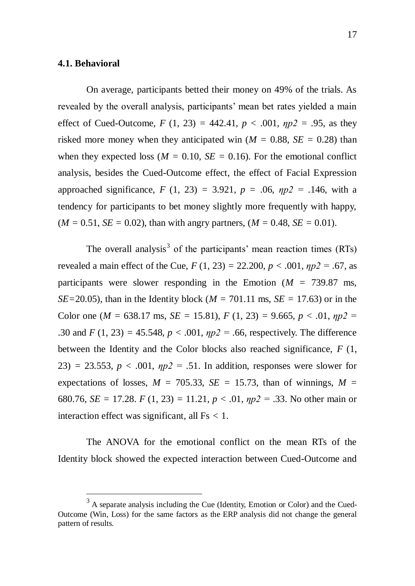#### **4.1. Behavioral**

 $\overline{a}$ 

On average, participants betted their money on 49% of the trials. As revealed by the overall analysis, participants' mean bet rates yielded a main effect of Cued-Outcome,  $F(1, 23) = 442.41$ ,  $p < .001$ ,  $np2 = .95$ , as they risked more money when they anticipated win  $(M = 0.88, SE = 0.28)$  than when they expected loss ( $M = 0.10$ ,  $SE = 0.16$ ). For the emotional conflict analysis, besides the Cued-Outcome effect, the effect of Facial Expression approached significance,  $F(1, 23) = 3.921$ ,  $p = .06$ ,  $np2 = .146$ , with a tendency for participants to bet money slightly more frequently with happy,  $(M = 0.51, SE = 0.02)$ , than with angry partners,  $(M = 0.48, SE = 0.01)$ .

The overall analysis<sup>3</sup> of the participants' mean reaction times  $(RTs)$ revealed a main effect of the Cue,  $F(1, 23) = 22.200, p < .001, \eta p2 = .67$ , as participants were slower responding in the Emotion (*M =* 739.87 ms, *SE*=20.05), than in the Identity block ( $M = 701.11$  ms, *SE* = 17.63) or in the Color one ( $M = 638.17$  ms,  $SE = 15.81$ ),  $F(1, 23) = 9.665$ ,  $p < .01$ ,  $np2 =$ .30 and  $F(1, 23) = 45.548$ ,  $p < .001$ ,  $np2 = .66$ , respectively. The difference between the Identity and the Color blocks also reached significance, *F* (1, 23) = 23.553,  $p < .001$ ,  $np2 = .51$ . In addition, responses were slower for expectations of losses,  $M = 705.33$ ,  $SE = 15.73$ , than of winnings,  $M =$ 680.76, *SE* = 17.28. *F* (1, 23) = 11.21, *p* < .01,  $np2$  = .33. No other main or interaction effect was significant, all Fs *<* 1.

The ANOVA for the emotional conflict on the mean RTs of the Identity block showed the expected interaction between Cued-Outcome and

 $3$  A separate analysis including the Cue (Identity, Emotion or Color) and the Cued-Outcome (Win, Loss) for the same factors as the ERP analysis did not change the general pattern of results.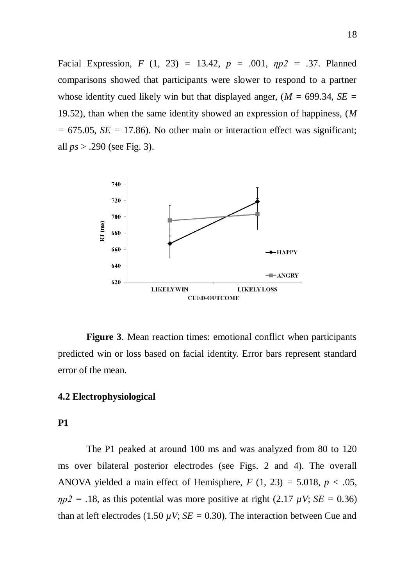Facial Expression, *F* (1, 23) *=* 13.42, *p =* .001, *ηp2 =* .37. Planned comparisons showed that participants were slower to respond to a partner whose identity cued likely win but that displayed anger,  $(M = 699.34, SE =$ 19.52), than when the same identity showed an expression of happiness, (*M =* 675.05, *SE =* 17.86). No other main or interaction effect was significant; all *ps* > .290 (see Fig. 3).



**Figure 3**. Mean reaction times: emotional conflict when participants predicted win or loss based on facial identity. Error bars represent standard error of the mean.

## **4.2 Electrophysiological**

## **P1**

The P1 peaked at around 100 ms and was analyzed from 80 to 120 ms over bilateral posterior electrodes (see Figs. 2 and 4). The overall ANOVA yielded a main effect of Hemisphere,  $F(1, 23) = 5.018$ ,  $p < .05$ ,  $np2 = 0.18$ , as this potential was more positive at right (2.17  $\mu$ V; *SE* = 0.36) than at left electrodes (1.50  $\mu$ V; *SE* = 0.30). The interaction between Cue and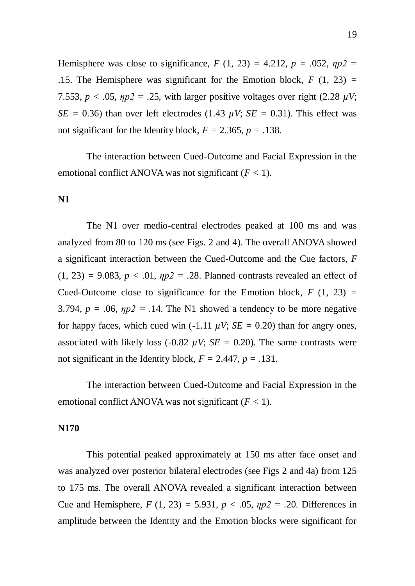Hemisphere was close to significance,  $F(1, 23) = 4.212$ ,  $p = .052$ ,  $np2 =$ .15. The Hemisphere was significant for the Emotion block, *F* (1, 23) *=* 7.553,  $p < .05$ ,  $np2 = .25$ , with larger positive voltages over right (2.28  $\mu$ V; *SE* = 0.36) than over left electrodes (1.43  $\mu$ V; *SE* = 0.31). This effect was not significant for the Identity block,  $F = 2.365$ ,  $p = .138$ .

The interaction between Cued-Outcome and Facial Expression in the emotional conflict ANOVA was not significant  $(F < 1)$ .

#### **N1**

The N1 over medio-central electrodes peaked at 100 ms and was analyzed from 80 to 120 ms (see Figs. 2 and 4). The overall ANOVA showed a significant interaction between the Cued-Outcome and the Cue factors, *F*  $(1, 23) = 9.083$ ,  $p < .01$ ,  $np2 = .28$ . Planned contrasts revealed an effect of Cued-Outcome close to significance for the Emotion block,  $F(1, 23) =$ 3.794,  $p = .06$ ,  $np2 = .14$ . The N1 showed a tendency to be more negative for happy faces, which cued win (-1.11  $\mu$ V; *SE* = 0.20) than for angry ones, associated with likely loss (-0.82  $\mu$ V; *SE* = 0.20). The same contrasts were not significant in the Identity block,  $F = 2.447$ ,  $p = .131$ .

The interaction between Cued-Outcome and Facial Expression in the emotional conflict ANOVA was not significant (*F <* 1).

#### **N170**

This potential peaked approximately at 150 ms after face onset and was analyzed over posterior bilateral electrodes (see Figs 2 and 4a) from 125 to 175 ms. The overall ANOVA revealed a significant interaction between Cue and Hemisphere,  $F(1, 23) = 5.931$ ,  $p < .05$ ,  $np2 = .20$ . Differences in amplitude between the Identity and the Emotion blocks were significant for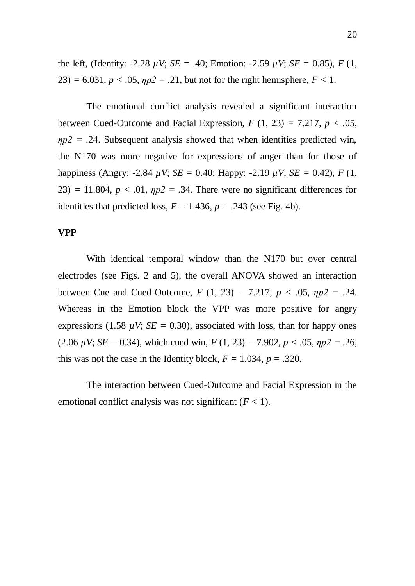the left, (Identity:  $-2.28 \mu V$ ; *SE* = .40; Emotion:  $-2.59 \mu V$ ; *SE* = 0.85), *F* (1,  $23$ ) = 6.031, *p* < .05,  $np2$  = .21, but not for the right hemisphere, *F* < 1.

The emotional conflict analysis revealed a significant interaction between Cued-Outcome and Facial Expression,  $F(1, 23) = 7.217$ ,  $p < .05$ ,  $\eta p2 = .24$ . Subsequent analysis showed that when identities predicted win, the N170 was more negative for expressions of anger than for those of happiness (Angry: -2.84  $\mu$ V; *SE* = 0.40; Happy: -2.19  $\mu$ V; *SE* = 0.42), *F* (1, 23) = 11.804,  $p < .01$ ,  $np2 = .34$ . There were no significant differences for identities that predicted loss,  $F = 1.436$ ,  $p = .243$  (see Fig. 4b).

#### **VPP**

With identical temporal window than the N170 but over central electrodes (see Figs. 2 and 5), the overall ANOVA showed an interaction between Cue and Cued-Outcome,  $F(1, 23) = 7.217$ ,  $p < .05$ ,  $np2 = .24$ . Whereas in the Emotion block the VPP was more positive for angry expressions (1.58  $\mu$ V; *SE* = 0.30), associated with loss, than for happy ones (2.06  $\mu$ V; *SE* = 0.34), which cued win, *F* (1, 23) = 7.902, *p* < .05,  $np2 = .26$ , this was not the case in the Identity block,  $F = 1.034$ ,  $p = .320$ .

The interaction between Cued-Outcome and Facial Expression in the emotional conflict analysis was not significant  $(F < 1)$ .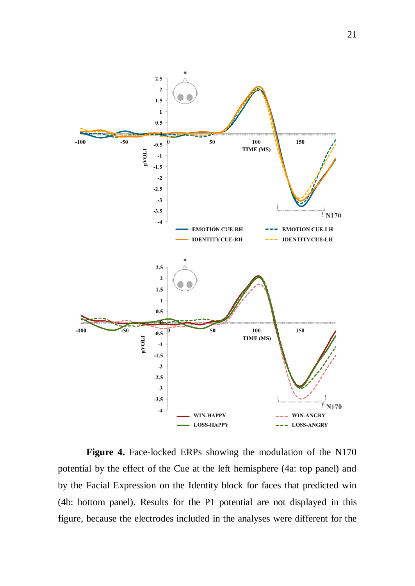

Figure 4. Face-locked ERPs showing the modulation of the N170 potential by the effect of the Cue at the left hemisphere (4a: top panel) and by the Facial Expression on the Identity block for faces that predicted win (4b: bottom panel). Results for the P1 potential are not displayed in this figure, because the electrodes included in the analyses were different for the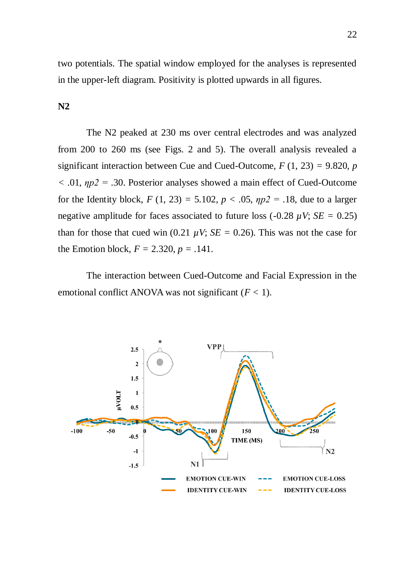two potentials. The spatial window employed for the analyses is represented in the upper-left diagram. Positivity is plotted upwards in all figures.

**N2**

The N2 peaked at 230 ms over central electrodes and was analyzed from 200 to 260 ms (see Figs. 2 and 5). The overall analysis revealed a significant interaction between Cue and Cued-Outcome,  $F(1, 23) = 9.820$ , *p <* .01, *ηp2 =* .30. Posterior analyses showed a main effect of Cued-Outcome for the Identity block,  $F(1, 23) = 5.102$ ,  $p < .05$ ,  $np2 = .18$ , due to a larger negative amplitude for faces associated to future loss  $(-0.28 \mu V; SE = 0.25)$ than for those that cued win (0.21  $\mu$ V; *SE* = 0.26). This was not the case for the Emotion block,  $F = 2.320, p = .141$ .

The interaction between Cued-Outcome and Facial Expression in the emotional conflict ANOVA was not significant (*F <* 1).

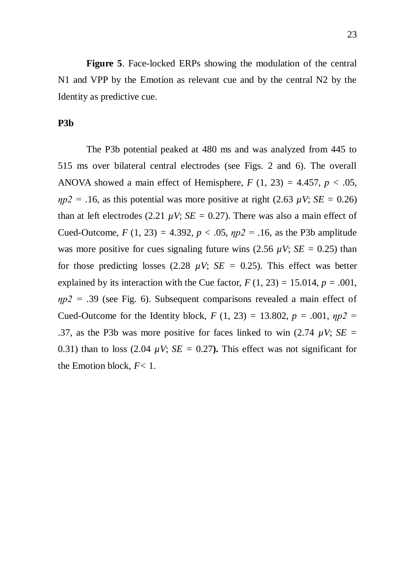**Figure 5**. Face-locked ERPs showing the modulation of the central N1 and VPP by the Emotion as relevant cue and by the central N2 by the Identity as predictive cue.

#### **P3b**

The P3b potential peaked at 480 ms and was analyzed from 445 to 515 ms over bilateral central electrodes (see Figs. 2 and 6). The overall ANOVA showed a main effect of Hemisphere,  $F(1, 23) = 4.457$ ,  $p < .05$ ,  $\eta p2 = .16$ , as this potential was more positive at right (2.63  $\mu$ V; *SE* = 0.26) than at left electrodes (2.21  $\mu$ V; *SE* = 0.27). There was also a main effect of Cued-Outcome,  $F(1, 23) = 4.392$ ,  $p < .05$ ,  $np2 = .16$ , as the P3b amplitude was more positive for cues signaling future wins  $(2.56 \mu V; SE = 0.25)$  than for those predicting losses (2.28  $\mu$ V; *SE* = 0.25). This effect was better explained by its interaction with the Cue factor,  $F(1, 23) = 15.014$ ,  $p = .001$ , *ηp2 =* .39 (see Fig. 6). Subsequent comparisons revealed a main effect of Cued-Outcome for the Identity block,  $F(1, 23) = 13.802$ ,  $p = .001$ ,  $np2 =$ .37, as the P3b was more positive for faces linked to win (2.74 *µV*; *SE =* 0.31) than to loss (2.04  $\mu$ V; *SE* = 0.27). This effect was not significant for the Emotion block, *F<* 1.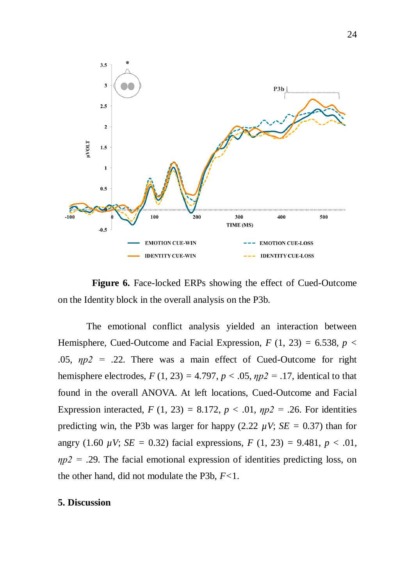

**Figure 6.** Face-locked ERPs showing the effect of Cued-Outcome on the Identity block in the overall analysis on the P3b.

The emotional conflict analysis yielded an interaction between Hemisphere, Cued-Outcome and Facial Expression,  $F(1, 23) = 6.538$ ,  $p <$ .05, *ηp2 =* .22. There was a main effect of Cued-Outcome for right hemisphere electrodes,  $F(1, 23) = 4.797$ ,  $p < .05$ ,  $np2 = .17$ , identical to that found in the overall ANOVA. At left locations, Cued-Outcome and Facial Expression interacted,  $F(1, 23) = 8.172$ ,  $p < .01$ ,  $np2 = .26$ . For identities predicting win, the P3b was larger for happy (2.22  $\mu$ V; *SE* = 0.37) than for angry (1.60  $\mu$ V; *SE* = 0.32) facial expressions, *F* (1, 23) = 9.481, *p* < .01, *ηp2 =* .29. The facial emotional expression of identities predicting loss, on the other hand, did not modulate the P3b, *F<*1.

#### **5. Discussion**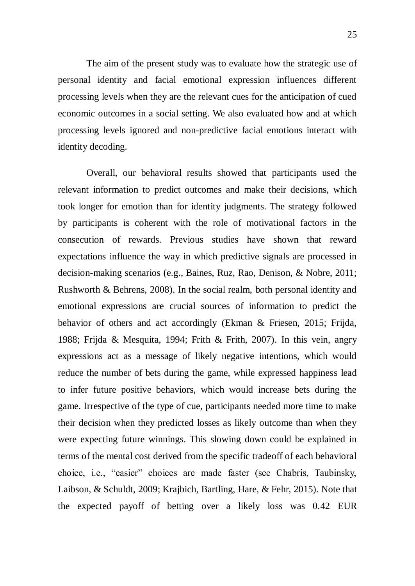The aim of the present study was to evaluate how the strategic use of personal identity and facial emotional expression influences different processing levels when they are the relevant cues for the anticipation of cued economic outcomes in a social setting. We also evaluated how and at which processing levels ignored and non-predictive facial emotions interact with identity decoding.

Overall, our behavioral results showed that participants used the relevant information to predict outcomes and make their decisions, which took longer for emotion than for identity judgments. The strategy followed by participants is coherent with the role of motivational factors in the consecution of rewards. Previous studies have shown that reward expectations influence the way in which predictive signals are processed in decision-making scenarios (e.g., Baines, Ruz, Rao, Denison, & Nobre, 2011; Rushworth & Behrens, 2008). In the social realm, both personal identity and emotional expressions are crucial sources of information to predict the behavior of others and act accordingly (Ekman & Friesen, 2015; Frijda, 1988; Frijda & Mesquita, 1994; Frith & Frith, 2007). In this vein, angry expressions act as a message of likely negative intentions, which would reduce the number of bets during the game, while expressed happiness lead to infer future positive behaviors, which would increase bets during the game. Irrespective of the type of cue, participants needed more time to make their decision when they predicted losses as likely outcome than when they were expecting future winnings. This slowing down could be explained in terms of the mental cost derived from the specific tradeoff of each behavioral choice, i.e., "easier" choices are made faster (see Chabris, Taubinsky, Laibson, & Schuldt, 2009; Krajbich, Bartling, Hare, & Fehr, 2015). Note that the expected payoff of betting over a likely loss was 0.42 EUR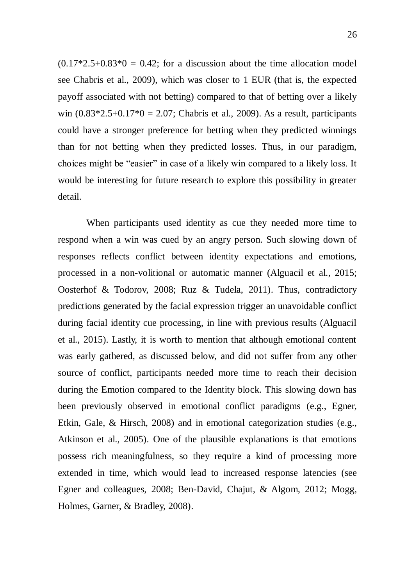$(0.17*2.5+0.83*0 = 0.42$ ; for a discussion about the time allocation model see Chabris et al., 2009), which was closer to 1 EUR (that is, the expected payoff associated with not betting) compared to that of betting over a likely win  $(0.83*2.5+0.17*0 = 2.07;$  Chabris et al., 2009). As a result, participants could have a stronger preference for betting when they predicted winnings than for not betting when they predicted losses. Thus, in our paradigm, choices might be "easier" in case of a likely win compared to a likely loss. It would be interesting for future research to explore this possibility in greater detail.

When participants used identity as cue they needed more time to respond when a win was cued by an angry person. Such slowing down of responses reflects conflict between identity expectations and emotions, processed in a non-volitional or automatic manner (Alguacil et al., 2015; Oosterhof & Todorov, 2008; Ruz & Tudela, 2011). Thus, contradictory predictions generated by the facial expression trigger an unavoidable conflict during facial identity cue processing, in line with previous results (Alguacil et al., 2015). Lastly, it is worth to mention that although emotional content was early gathered, as discussed below, and did not suffer from any other source of conflict, participants needed more time to reach their decision during the Emotion compared to the Identity block. This slowing down has been previously observed in emotional conflict paradigms (e.g., Egner, Etkin, Gale, & Hirsch, 2008) and in emotional categorization studies (e.g., Atkinson et al., 2005). One of the plausible explanations is that emotions possess rich meaningfulness, so they require a kind of processing more extended in time, which would lead to increased response latencies (see Egner and colleagues, 2008; Ben-David, Chajut, & Algom, 2012; Mogg, Holmes, Garner, & Bradley, 2008).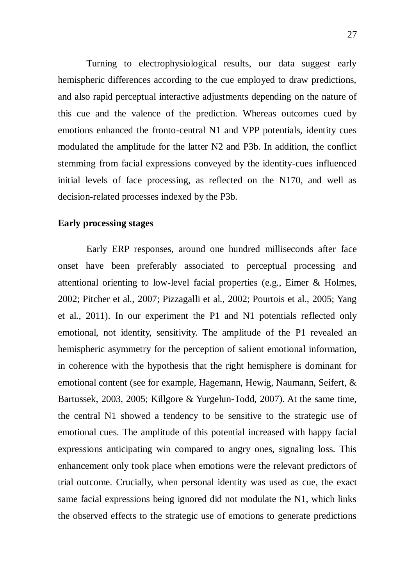Turning to electrophysiological results, our data suggest early hemispheric differences according to the cue employed to draw predictions, and also rapid perceptual interactive adjustments depending on the nature of this cue and the valence of the prediction. Whereas outcomes cued by emotions enhanced the fronto-central N1 and VPP potentials, identity cues modulated the amplitude for the latter N2 and P3b. In addition, the conflict stemming from facial expressions conveyed by the identity-cues influenced initial levels of face processing, as reflected on the N170, and well as decision-related processes indexed by the P3b.

#### **Early processing stages**

Early ERP responses, around one hundred milliseconds after face onset have been preferably associated to perceptual processing and attentional orienting to low-level facial properties (e.g., Eimer & Holmes, 2002; Pitcher et al., 2007; Pizzagalli et al., 2002; Pourtois et al., 2005; Yang et al., 2011). In our experiment the P1 and N1 potentials reflected only emotional, not identity, sensitivity. The amplitude of the P1 revealed an hemispheric asymmetry for the perception of salient emotional information, in coherence with the hypothesis that the right hemisphere is dominant for emotional content (see for example, Hagemann, Hewig, Naumann, Seifert, & Bartussek, 2003, 2005; Killgore & Yurgelun-Todd, 2007). At the same time, the central N1 showed a tendency to be sensitive to the strategic use of emotional cues. The amplitude of this potential increased with happy facial expressions anticipating win compared to angry ones, signaling loss. This enhancement only took place when emotions were the relevant predictors of trial outcome. Crucially, when personal identity was used as cue, the exact same facial expressions being ignored did not modulate the N1, which links the observed effects to the strategic use of emotions to generate predictions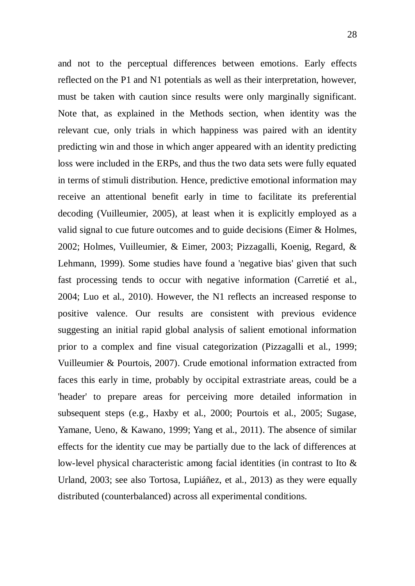and not to the perceptual differences between emotions. Early effects reflected on the P1 and N1 potentials as well as their interpretation, however, must be taken with caution since results were only marginally significant. Note that, as explained in the Methods section, when identity was the relevant cue, only trials in which happiness was paired with an identity predicting win and those in which anger appeared with an identity predicting loss were included in the ERPs, and thus the two data sets were fully equated in terms of stimuli distribution. Hence, predictive emotional information may receive an attentional benefit early in time to facilitate its preferential decoding (Vuilleumier, 2005), at least when it is explicitly employed as a valid signal to cue future outcomes and to guide decisions (Eimer & Holmes, 2002; Holmes, Vuilleumier, & Eimer, 2003; Pizzagalli, Koenig, Regard, & Lehmann, 1999). Some studies have found a 'negative bias' given that such fast processing tends to occur with negative information (Carretié et al., 2004; Luo et al., 2010). However, the N1 reflects an increased response to positive valence. Our results are consistent with previous evidence suggesting an initial rapid global analysis of salient emotional information prior to a complex and fine visual categorization (Pizzagalli et al., 1999; Vuilleumier & Pourtois, 2007). Crude emotional information extracted from faces this early in time, probably by occipital extrastriate areas, could be a 'header' to prepare areas for perceiving more detailed information in subsequent steps (e.g., Haxby et al., 2000; Pourtois et al., 2005; Sugase, Yamane, Ueno, & Kawano, 1999; Yang et al., 2011). The absence of similar effects for the identity cue may be partially due to the lack of differences at low-level physical characteristic among facial identities (in contrast to Ito & Urland, 2003; see also Tortosa, Lupiáñez, et al., 2013) as they were equally distributed (counterbalanced) across all experimental conditions.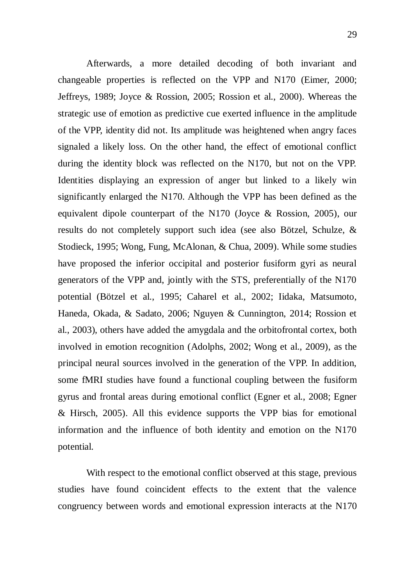Afterwards, a more detailed decoding of both invariant and changeable properties is reflected on the VPP and N170 (Eimer, 2000; Jeffreys, 1989; Joyce & Rossion, 2005; Rossion et al., 2000). Whereas the strategic use of emotion as predictive cue exerted influence in the amplitude of the VPP, identity did not. Its amplitude was heightened when angry faces signaled a likely loss. On the other hand, the effect of emotional conflict during the identity block was reflected on the N170, but not on the VPP. Identities displaying an expression of anger but linked to a likely win significantly enlarged the N170. Although the VPP has been defined as the equivalent dipole counterpart of the N170 (Joyce & Rossion, 2005), our results do not completely support such idea (see also Bötzel, Schulze, & Stodieck, 1995; Wong, Fung, McAlonan, & Chua, 2009). While some studies have proposed the inferior occipital and posterior fusiform gyri as neural generators of the VPP and, jointly with the STS, preferentially of the N170 potential (Bötzel et al., 1995; Caharel et al., 2002; Iidaka, Matsumoto, Haneda, Okada, & Sadato, 2006; Nguyen & Cunnington, 2014; Rossion et al., 2003), others have added the amygdala and the orbitofrontal cortex, both involved in emotion recognition (Adolphs, 2002; Wong et al., 2009), as the principal neural sources involved in the generation of the VPP. In addition, some fMRI studies have found a functional coupling between the fusiform gyrus and frontal areas during emotional conflict (Egner et al., 2008; Egner & Hirsch, 2005). All this evidence supports the VPP bias for emotional information and the influence of both identity and emotion on the N170 potential.

With respect to the emotional conflict observed at this stage, previous studies have found coincident effects to the extent that the valence congruency between words and emotional expression interacts at the N170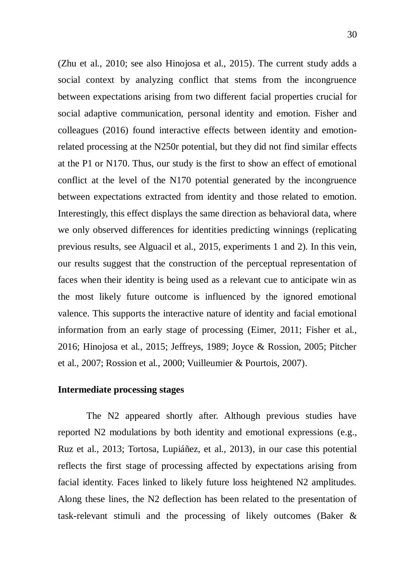(Zhu et al., 2010; see also Hinojosa et al., 2015). The current study adds a social context by analyzing conflict that stems from the incongruence between expectations arising from two different facial properties crucial for social adaptive communication, personal identity and emotion. Fisher and colleagues (2016) found interactive effects between identity and emotionrelated processing at the N250r potential, but they did not find similar effects at the P1 or N170. Thus, our study is the first to show an effect of emotional conflict at the level of the N170 potential generated by the incongruence between expectations extracted from identity and those related to emotion. Interestingly, this effect displays the same direction as behavioral data, where we only observed differences for identities predicting winnings (replicating previous results, see Alguacil et al., 2015, experiments 1 and 2). In this vein, our results suggest that the construction of the perceptual representation of faces when their identity is being used as a relevant cue to anticipate win as the most likely future outcome is influenced by the ignored emotional valence. This supports the interactive nature of identity and facial emotional information from an early stage of processing (Eimer, 2011; Fisher et al., 2016; Hinojosa et al., 2015; Jeffreys, 1989; Joyce & Rossion, 2005; Pitcher et al., 2007; Rossion et al., 2000; Vuilleumier & Pourtois, 2007).

#### **Intermediate processing stages**

The N2 appeared shortly after. Although previous studies have reported N2 modulations by both identity and emotional expressions (e.g., Ruz et al., 2013; Tortosa, Lupiáñez, et al., 2013), in our case this potential reflects the first stage of processing affected by expectations arising from facial identity. Faces linked to likely future loss heightened N2 amplitudes. Along these lines, the N2 deflection has been related to the presentation of task-relevant stimuli and the processing of likely outcomes (Baker &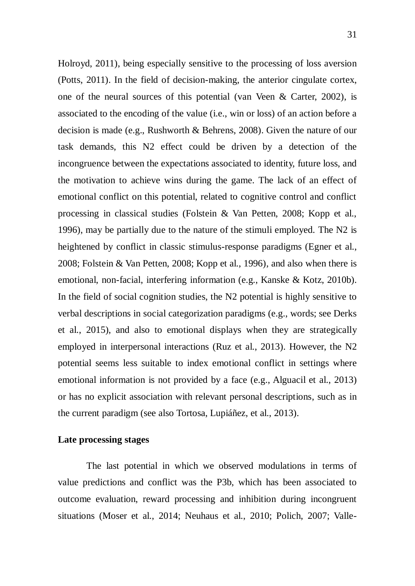Holroyd, 2011), being especially sensitive to the processing of loss aversion (Potts, 2011). In the field of decision-making, the anterior cingulate cortex, one of the neural sources of this potential (van Veen & Carter, 2002), is associated to the encoding of the value (i.e., win or loss) of an action before a decision is made (e.g., Rushworth & Behrens, 2008). Given the nature of our task demands, this N2 effect could be driven by a detection of the incongruence between the expectations associated to identity, future loss, and the motivation to achieve wins during the game. The lack of an effect of emotional conflict on this potential, related to cognitive control and conflict processing in classical studies (Folstein & Van Petten, 2008; Kopp et al., 1996), may be partially due to the nature of the stimuli employed. The N2 is heightened by conflict in classic stimulus-response paradigms (Egner et al., 2008; Folstein & Van Petten, 2008; Kopp et al., 1996), and also when there is emotional, non-facial, interfering information (e.g., Kanske & Kotz, 2010b). In the field of social cognition studies, the N2 potential is highly sensitive to verbal descriptions in social categorization paradigms (e.g., words; see Derks et al., 2015), and also to emotional displays when they are strategically employed in interpersonal interactions (Ruz et al., 2013). However, the N2 potential seems less suitable to index emotional conflict in settings where emotional information is not provided by a face (e.g., Alguacil et al., 2013) or has no explicit association with relevant personal descriptions, such as in the current paradigm (see also Tortosa, Lupiáñez, et al., 2013).

#### **Late processing stages**

The last potential in which we observed modulations in terms of value predictions and conflict was the P3b, which has been associated to outcome evaluation, reward processing and inhibition during incongruent situations (Moser et al., 2014; Neuhaus et al., 2010; Polich, 2007; Valle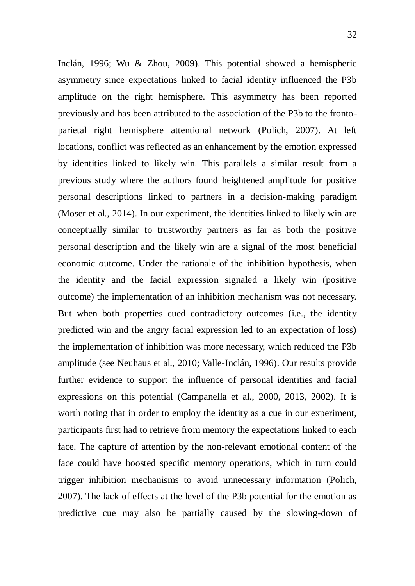Inclán, 1996; Wu & Zhou, 2009). This potential showed a hemispheric asymmetry since expectations linked to facial identity influenced the P3b amplitude on the right hemisphere. This asymmetry has been reported previously and has been attributed to the association of the P3b to the frontoparietal right hemisphere attentional network (Polich, 2007). At left locations, conflict was reflected as an enhancement by the emotion expressed by identities linked to likely win. This parallels a similar result from a previous study where the authors found heightened amplitude for positive personal descriptions linked to partners in a decision-making paradigm (Moser et al., 2014). In our experiment, the identities linked to likely win are conceptually similar to trustworthy partners as far as both the positive personal description and the likely win are a signal of the most beneficial economic outcome. Under the rationale of the inhibition hypothesis, when the identity and the facial expression signaled a likely win (positive outcome) the implementation of an inhibition mechanism was not necessary. But when both properties cued contradictory outcomes (i.e., the identity predicted win and the angry facial expression led to an expectation of loss) the implementation of inhibition was more necessary, which reduced the P3b amplitude (see Neuhaus et al., 2010; Valle-Inclán, 1996). Our results provide further evidence to support the influence of personal identities and facial expressions on this potential (Campanella et al., 2000, 2013, 2002). It is worth noting that in order to employ the identity as a cue in our experiment, participants first had to retrieve from memory the expectations linked to each face. The capture of attention by the non-relevant emotional content of the face could have boosted specific memory operations, which in turn could trigger inhibition mechanisms to avoid unnecessary information (Polich, 2007). The lack of effects at the level of the P3b potential for the emotion as predictive cue may also be partially caused by the slowing-down of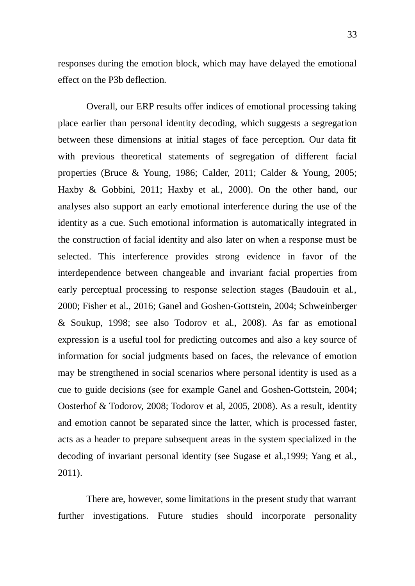responses during the emotion block, which may have delayed the emotional effect on the P3b deflection.

Overall, our ERP results offer indices of emotional processing taking place earlier than personal identity decoding, which suggests a segregation between these dimensions at initial stages of face perception. Our data fit with previous theoretical statements of segregation of different facial properties (Bruce & Young, 1986; Calder, 2011; Calder & Young, 2005; Haxby & Gobbini, 2011; Haxby et al., 2000). On the other hand, our analyses also support an early emotional interference during the use of the identity as a cue. Such emotional information is automatically integrated in the construction of facial identity and also later on when a response must be selected. This interference provides strong evidence in favor of the interdependence between changeable and invariant facial properties from early perceptual processing to response selection stages (Baudouin et al., 2000; Fisher et al., 2016; Ganel and Goshen-Gottstein, 2004; Schweinberger & Soukup, 1998; see also Todorov et al., 2008). As far as emotional expression is a useful tool for predicting outcomes and also a key source of information for social judgments based on faces, the relevance of emotion may be strengthened in social scenarios where personal identity is used as a cue to guide decisions (see for example Ganel and Goshen-Gottstein, 2004; Oosterhof & Todorov, 2008; Todorov et al, 2005, 2008). As a result, identity and emotion cannot be separated since the latter, which is processed faster, acts as a header to prepare subsequent areas in the system specialized in the decoding of invariant personal identity (see Sugase et al.,1999; Yang et al., 2011).

There are, however, some limitations in the present study that warrant further investigations. Future studies should incorporate personality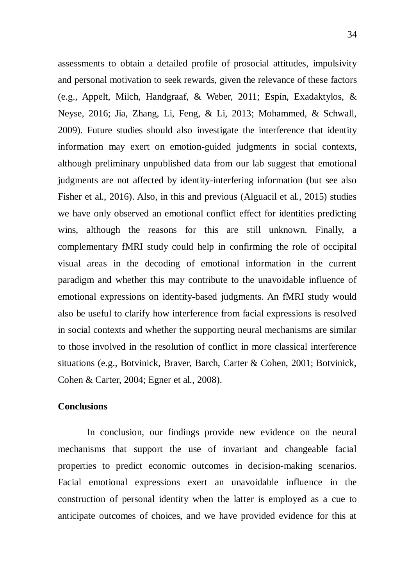assessments to obtain a detailed profile of prosocial attitudes, impulsivity and personal motivation to seek rewards, given the relevance of these factors (e.g., Appelt, Milch, Handgraaf, & Weber, 2011; Espín, Exadaktylos, & Neyse, 2016; Jia, Zhang, Li, Feng, & Li, 2013; Mohammed, & Schwall, 2009). Future studies should also investigate the interference that identity information may exert on emotion-guided judgments in social contexts, although preliminary unpublished data from our lab suggest that emotional judgments are not affected by identity-interfering information (but see also Fisher et al., 2016). Also, in this and previous (Alguacil et al., 2015) studies we have only observed an emotional conflict effect for identities predicting wins, although the reasons for this are still unknown. Finally, a complementary fMRI study could help in confirming the role of occipital visual areas in the decoding of emotional information in the current paradigm and whether this may contribute to the unavoidable influence of emotional expressions on identity-based judgments. An fMRI study would also be useful to clarify how interference from facial expressions is resolved in social contexts and whether the supporting neural mechanisms are similar to those involved in the resolution of conflict in more classical interference situations (e.g., Botvinick, Braver, Barch, Carter & Cohen, 2001; Botvinick, Cohen & Carter, 2004; Egner et al., 2008).

#### **Conclusions**

In conclusion, our findings provide new evidence on the neural mechanisms that support the use of invariant and changeable facial properties to predict economic outcomes in decision-making scenarios. Facial emotional expressions exert an unavoidable influence in the construction of personal identity when the latter is employed as a cue to anticipate outcomes of choices, and we have provided evidence for this at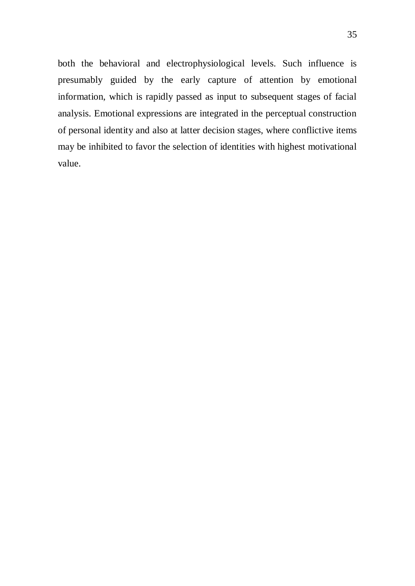both the behavioral and electrophysiological levels. Such influence is presumably guided by the early capture of attention by emotional information, which is rapidly passed as input to subsequent stages of facial analysis. Emotional expressions are integrated in the perceptual construction of personal identity and also at latter decision stages, where conflictive items may be inhibited to favor the selection of identities with highest motivational value.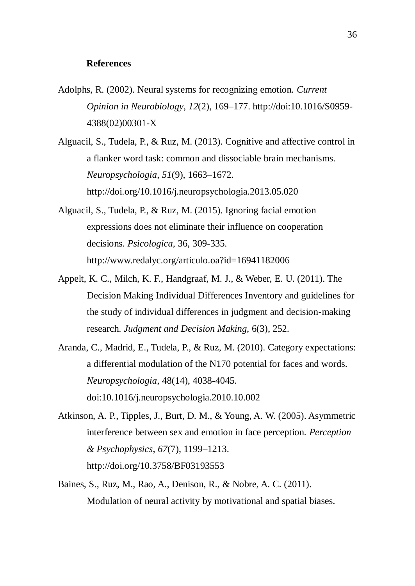#### **References**

Adolphs, R. (2002). Neural systems for recognizing emotion. *Current Opinion in Neurobiology*, *12*(2), 169–177. http://doi:10.1016/S0959- 4388(02)00301-X

Alguacil, S., Tudela, P., & Ruz, M. (2013). Cognitive and affective control in a flanker word task: common and dissociable brain mechanisms. *Neuropsychologia*, *51*(9), 1663–1672. http://doi.org/10.1016/j.neuropsychologia.2013.05.020

- Alguacil, S., Tudela, P., & Ruz, M. (2015). Ignoring facial emotion expressions does not eliminate their influence on cooperation decisions. *Psicologica*, 36, 309-335. http://www.redalyc.org/articulo.oa?id=16941182006
- Appelt, K. C., Milch, K. F., Handgraaf, M. J., & Weber, E. U. (2011). The Decision Making Individual Differences Inventory and guidelines for the study of individual differences in judgment and decision-making research. *Judgment and Decision Making*, 6(3), 252.
- Aranda, C., Madrid, E., Tudela, P., & Ruz, M. (2010). Category expectations: a differential modulation of the N170 potential for faces and words. *Neuropsychologia*, 48(14), 4038-4045. doi:10.1016/j.neuropsychologia.2010.10.002
- Atkinson, A. P., Tipples, J., Burt, D. M., & Young, A. W. (2005). Asymmetric interference between sex and emotion in face perception. *Perception & Psychophysics*, *67*(7), 1199–1213. http://doi.org/10.3758/BF03193553
- Baines, S., Ruz, M., Rao, A., Denison, R., & Nobre, A. C. (2011). Modulation of neural activity by motivational and spatial biases.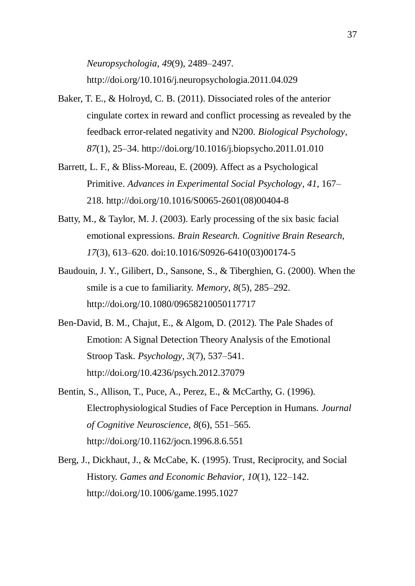- Baker, T. E., & Holroyd, C. B. (2011). Dissociated roles of the anterior cingulate cortex in reward and conflict processing as revealed by the feedback error-related negativity and N200. *Biological Psychology*, *87*(1), 25–34. http://doi.org/10.1016/j.biopsycho.2011.01.010
- Barrett, L. F., & Bliss-Moreau, E. (2009). Affect as a Psychological Primitive. *Advances in Experimental Social Psychology*, *41*, 167– 218. http://doi.org/10.1016/S0065-2601(08)00404-8
- Batty, M., & Taylor, M. J. (2003). Early processing of the six basic facial emotional expressions. *Brain Research. Cognitive Brain Research*, *17*(3), 613–620. doi:10.1016/S0926-6410(03)00174-5
- Baudouin, J. Y., Gilibert, D., Sansone, S., & Tiberghien, G. (2000). When the smile is a cue to familiarity. *Memory*, *8*(5), 285–292. http://doi.org/10.1080/09658210050117717
- Ben-David, B. M., Chajut, E., & Algom, D. (2012). The Pale Shades of Emotion: A Signal Detection Theory Analysis of the Emotional Stroop Task. *Psychology*, *3*(7), 537–541. http://doi.org/10.4236/psych.2012.37079
- Bentin, S., Allison, T., Puce, A., Perez, E., & McCarthy, G. (1996). Electrophysiological Studies of Face Perception in Humans. *Journal of Cognitive Neuroscience*, *8*(6), 551–565. http://doi.org/10.1162/jocn.1996.8.6.551
- Berg, J., Dickhaut, J., & McCabe, K. (1995). Trust, Reciprocity, and Social History. *Games and Economic Behavior*, *10*(1), 122–142. http://doi.org/10.1006/game.1995.1027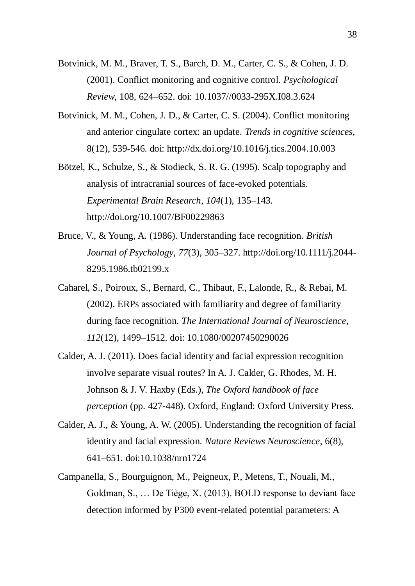- Botvinick, M. M., Braver, T. S., Barch, D. M., Carter, C. S., & Cohen, J. D. (2001). Conflict monitoring and cognitive control. *Psychological Review*, 108, 624–652. doi: 10.1037//0033-295X.I08.3.624
- Botvinick, M. M., Cohen, J. D., & Carter, C. S. (2004). Conflict monitoring and anterior cingulate cortex: an update. *Trends in cognitive sciences*, 8(12), 539-546. doi: http://dx.doi.org/10.1016/j.tics.2004.10.003
- Bötzel, K., Schulze, S., & Stodieck, S. R. G. (1995). Scalp topography and analysis of intracranial sources of face-evoked potentials. *Experimental Brain Research*, *104*(1), 135–143. http://doi.org/10.1007/BF00229863
- Bruce, V., & Young, A. (1986). Understanding face recognition. *British Journal of Psychology*, *77*(3), 305–327. http://doi.org/10.1111/j.2044- 8295.1986.tb02199.x
- Caharel, S., Poiroux, S., Bernard, C., Thibaut, F., Lalonde, R., & Rebai, M. (2002). ERPs associated with familiarity and degree of familiarity during face recognition. *The International Journal of Neuroscience*, *112*(12), 1499–1512. doi: 10.1080/00207450290026
- Calder, A. J. (2011). Does facial identity and facial expression recognition involve separate visual routes? In A. J. Calder, G. Rhodes, M. H. Johnson & J. V. Haxby (Eds.), *The Oxford handbook of face perception* (pp. 427-448). Oxford, England: Oxford University Press.
- Calder, A. J., & Young, A. W. (2005). Understanding the recognition of facial identity and facial expression. *Nature Reviews Neuroscience*, 6(8), 641–651. doi:10.1038/nrn1724
- Campanella, S., Bourguignon, M., Peigneux, P., Metens, T., Nouali, M., Goldman, S., … De Tiège, X. (2013). BOLD response to deviant face detection informed by P300 event-related potential parameters: A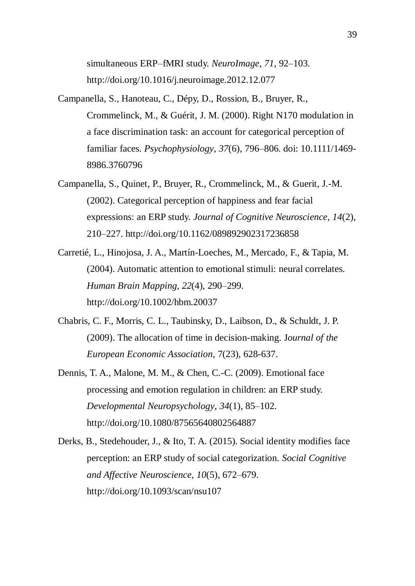simultaneous ERP–fMRI study. *NeuroImage*, *71*, 92–103. http://doi.org/10.1016/j.neuroimage.2012.12.077

- Campanella, S., Hanoteau, C., Dépy, D., Rossion, B., Bruyer, R., Crommelinck, M., & Guérit, J. M. (2000). Right N170 modulation in a face discrimination task: an account for categorical perception of familiar faces. *Psychophysiology*, *37*(6), 796–806. doi: 10.1111/1469- 8986.3760796
- Campanella, S., Quinet, P., Bruyer, R., Crommelinck, M., & Guerit, J.-M. (2002). Categorical perception of happiness and fear facial expressions: an ERP study. *Journal of Cognitive Neuroscience*, *14*(2), 210–227. http://doi.org/10.1162/089892902317236858
- Carretié, L., Hinojosa, J. A., Martín-Loeches, M., Mercado, F., & Tapia, M. (2004). Automatic attention to emotional stimuli: neural correlates. *Human Brain Mapping*, *22*(4), 290–299. http://doi.org/10.1002/hbm.20037
- Chabris, C. F., Morris, C. L., Taubinsky, D., Laibson, D., & Schuldt, J. P. (2009). The allocation of time in decision-making. J*ournal of the European Economic Association*, 7(23), 628-637.
- Dennis, T. A., Malone, M. M., & Chen, C.-C. (2009). Emotional face processing and emotion regulation in children: an ERP study. *Developmental Neuropsychology*, *34*(1), 85–102. http://doi.org/10.1080/87565640802564887
- Derks, B., Stedehouder, J., & Ito, T. A. (2015). Social identity modifies face perception: an ERP study of social categorization. *Social Cognitive and Affective Neuroscience*, *10*(5), 672–679. http://doi.org/10.1093/scan/nsu107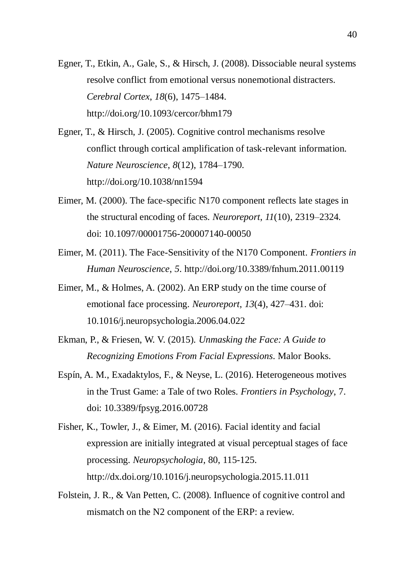- Egner, T., Etkin, A., Gale, S., & Hirsch, J. (2008). Dissociable neural systems resolve conflict from emotional versus nonemotional distracters. *Cerebral Cortex*, *18*(6), 1475–1484. http://doi.org/10.1093/cercor/bhm179
- Egner, T., & Hirsch, J. (2005). Cognitive control mechanisms resolve conflict through cortical amplification of task-relevant information. *Nature Neuroscience*, *8*(12), 1784–1790. http://doi.org/10.1038/nn1594
- Eimer, M. (2000). The face-specific N170 component reflects late stages in the structural encoding of faces. *Neuroreport*, *11*(10), 2319–2324. doi: 10.1097/00001756-200007140-00050
- Eimer, M. (2011). The Face-Sensitivity of the N170 Component. *Frontiers in Human Neuroscience*, *5*. http://doi.org/10.3389/fnhum.2011.00119
- Eimer, M., & Holmes, A. (2002). An ERP study on the time course of emotional face processing. *Neuroreport*, *13*(4), 427–431. doi: 10.1016/j.neuropsychologia.2006.04.022
- Ekman, P., & Friesen, W. V. (2015). *Unmasking the Face: A Guide to Recognizing Emotions From Facial Expressions*. Malor Books.
- Espín, A. M., Exadaktylos, F., & Neyse, L. (2016). Heterogeneous motives in the Trust Game: a Tale of two Roles. *Frontiers in Psychology*, 7. doi: 10.3389/fpsyg.2016.00728
- Fisher, K., Towler, J., & Eimer, M. (2016). Facial identity and facial expression are initially integrated at visual perceptual stages of face processing. *Neuropsychologia*, 80, 115-125. http://dx.doi.org/10.1016/j.neuropsychologia.2015.11.011
- Folstein, J. R., & Van Petten, C. (2008). Influence of cognitive control and mismatch on the N2 component of the ERP: a review.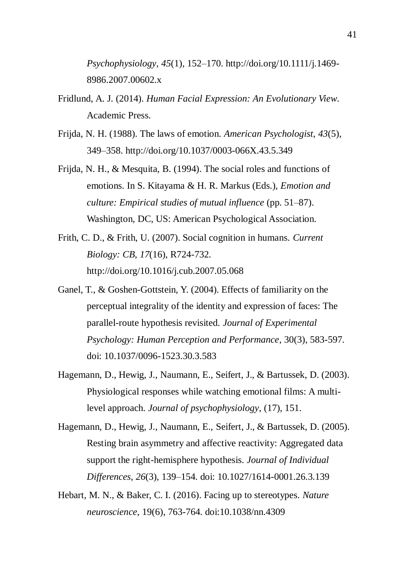*Psychophysiology*, *45*(1), 152–170. http://doi.org/10.1111/j.1469- 8986.2007.00602.x

- Fridlund, A. J. (2014). *Human Facial Expression: An Evolutionary View*. Academic Press.
- Frijda, N. H. (1988). The laws of emotion. *American Psychologist*, *43*(5), 349–358. http://doi.org/10.1037/0003-066X.43.5.349
- Frijda, N. H., & Mesquita, B. (1994). The social roles and functions of emotions. In S. Kitayama & H. R. Markus (Eds.), *Emotion and culture: Empirical studies of mutual influence* (pp. 51–87). Washington, DC, US: American Psychological Association.
- Frith, C. D., & Frith, U. (2007). Social cognition in humans. *Current Biology: CB*, *17*(16), R724-732. http://doi.org/10.1016/j.cub.2007.05.068
- Ganel, T., & Goshen-Gottstein, Y. (2004). Effects of familiarity on the perceptual integrality of the identity and expression of faces: The parallel-route hypothesis revisited. *Journal of Experimental Psychology: Human Perception and Performance*, 30(3), 583-597. doi: 10.1037/0096-1523.30.3.583
- Hagemann, D., Hewig, J., Naumann, E., Seifert, J., & Bartussek, D. (2003). Physiological responses while watching emotional films: A multilevel approach. *Journal of psychophysiology*, (17), 151.
- Hagemann, D., Hewig, J., Naumann, E., Seifert, J., & Bartussek, D. (2005). Resting brain asymmetry and affective reactivity: Aggregated data support the right-hemisphere hypothesis. *Journal of Individual Differences*, *26*(3), 139–154. doi: 10.1027/1614-0001.26.3.139
- Hebart, M. N., & Baker, C. I. (2016). Facing up to stereotypes. *Nature neuroscience*, 19(6), 763-764. doi:10.1038/nn.4309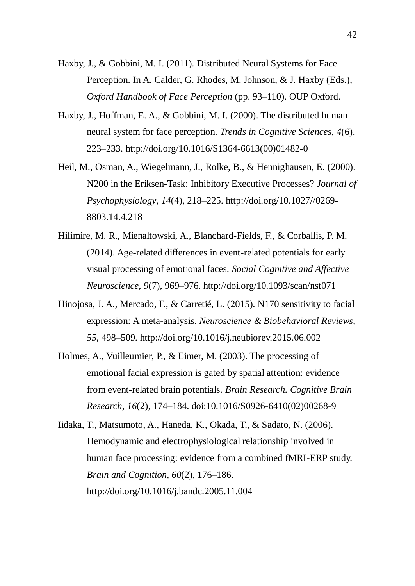- Haxby, J., & Gobbini, M. I. (2011). Distributed Neural Systems for Face Perception. In A. Calder, G. Rhodes, M. Johnson, & J. Haxby (Eds.), *Oxford Handbook of Face Perception* (pp. 93–110). OUP Oxford.
- Haxby, J., Hoffman, E. A., & Gobbini, M. I. (2000). The distributed human neural system for face perception. *Trends in Cognitive Sciences*, *4*(6), 223–233. http://doi.org/10.1016/S1364-6613(00)01482-0
- Heil, M., Osman, A., Wiegelmann, J., Rolke, B., & Hennighausen, E. (2000). N200 in the Eriksen-Task: Inhibitory Executive Processes? *Journal of Psychophysiology*, *14*(4), 218–225. http://doi.org/10.1027//0269- 8803.14.4.218
- Hilimire, M. R., Mienaltowski, A., Blanchard-Fields, F., & Corballis, P. M. (2014). Age-related differences in event-related potentials for early visual processing of emotional faces. *Social Cognitive and Affective Neuroscience*, *9*(7), 969–976. http://doi.org/10.1093/scan/nst071
- Hinojosa, J. A., Mercado, F., & Carretié, L. (2015). N170 sensitivity to facial expression: A meta-analysis. *Neuroscience & Biobehavioral Reviews*, *55*, 498–509. http://doi.org/10.1016/j.neubiorev.2015.06.002
- Holmes, A., Vuilleumier, P., & Eimer, M. (2003). The processing of emotional facial expression is gated by spatial attention: evidence from event-related brain potentials. *Brain Research. Cognitive Brain Research*, *16*(2), 174–184. doi:10.1016/S0926-6410(02)00268-9
- Iidaka, T., Matsumoto, A., Haneda, K., Okada, T., & Sadato, N. (2006). Hemodynamic and electrophysiological relationship involved in human face processing: evidence from a combined fMRI-ERP study. *Brain and Cognition*, *60*(2), 176–186. http://doi.org/10.1016/j.bandc.2005.11.004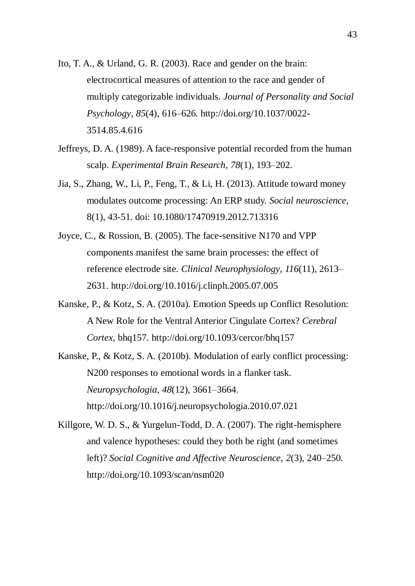- Ito, T. A., & Urland, G. R. (2003). Race and gender on the brain: electrocortical measures of attention to the race and gender of multiply categorizable individuals. *Journal of Personality and Social Psychology*, *85*(4), 616–626. http://doi.org/10.1037/0022- 3514.85.4.616
- Jeffreys, D. A. (1989). A face-responsive potential recorded from the human scalp. *Experimental Brain Research*, *78*(1), 193–202.
- Jia, S., Zhang, W., Li, P., Feng, T., & Li, H. (2013). Attitude toward money modulates outcome processing: An ERP study. *Social neuroscience*, 8(1), 43-51. doi: 10.1080/17470919.2012.713316
- Joyce, C., & Rossion, B. (2005). The face-sensitive N170 and VPP components manifest the same brain processes: the effect of reference electrode site. *Clinical Neurophysiology*, *116*(11), 2613– 2631. http://doi.org/10.1016/j.clinph.2005.07.005
- Kanske, P., & Kotz, S. A. (2010a). Emotion Speeds up Conflict Resolution: A New Role for the Ventral Anterior Cingulate Cortex? *Cerebral Cortex*, bhq157. http://doi.org/10.1093/cercor/bhq157
- Kanske, P., & Kotz, S. A. (2010b). Modulation of early conflict processing: N200 responses to emotional words in a flanker task. *Neuropsychologia*, *48*(12), 3661–3664. http://doi.org/10.1016/j.neuropsychologia.2010.07.021
- Killgore, W. D. S., & Yurgelun-Todd, D. A. (2007). The right-hemisphere and valence hypotheses: could they both be right (and sometimes left)? *Social Cognitive and Affective Neuroscience*, *2*(3), 240–250. http://doi.org/10.1093/scan/nsm020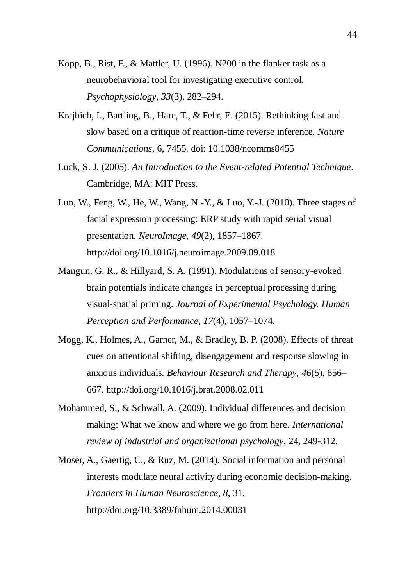- Kopp, B., Rist, F., & Mattler, U. (1996). N200 in the flanker task as a neurobehavioral tool for investigating executive control. *Psychophysiology*, *33*(3), 282–294.
- Krajbich, I., Bartling, B., Hare, T., & Fehr, E. (2015). Rethinking fast and slow based on a critique of reaction-time reverse inference. *Nature Communications*, 6, 7455. doi: 10.1038/ncomms8455
- Luck, S. J. (2005). *An Introduction to the Event-related Potential Technique*. Cambridge, MA: MIT Press.
- Luo, W., Feng, W., He, W., Wang, N.-Y., & Luo, Y.-J. (2010). Three stages of facial expression processing: ERP study with rapid serial visual presentation. *NeuroImage*, *49*(2), 1857–1867. http://doi.org/10.1016/j.neuroimage.2009.09.018
- Mangun, G. R., & Hillyard, S. A. (1991). Modulations of sensory-evoked brain potentials indicate changes in perceptual processing during visual-spatial priming. *Journal of Experimental Psychology. Human Perception and Performance*, *17*(4), 1057–1074.
- Mogg, K., Holmes, A., Garner, M., & Bradley, B. P. (2008). Effects of threat cues on attentional shifting, disengagement and response slowing in anxious individuals. *Behaviour Research and Therapy*, *46*(5), 656– 667. http://doi.org/10.1016/j.brat.2008.02.011
- Mohammed, S., & Schwall, A. (2009). Individual differences and decision making: What we know and where we go from here. *International review of industrial and organizational psychology*, 24, 249-312.
- Moser, A., Gaertig, C., & Ruz, M. (2014). Social information and personal interests modulate neural activity during economic decision-making. *Frontiers in Human Neuroscience*, *8*, 31. http://doi.org/10.3389/fnhum.2014.00031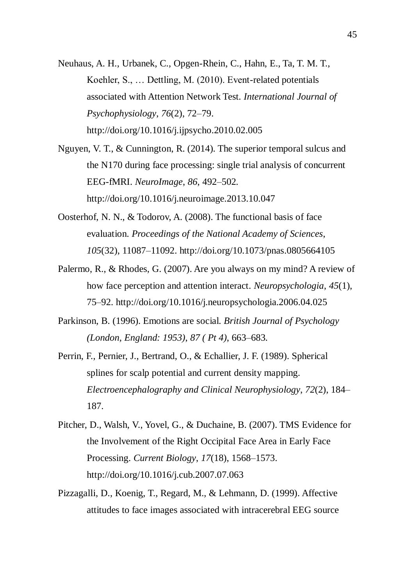Neuhaus, A. H., Urbanek, C., Opgen-Rhein, C., Hahn, E., Ta, T. M. T., Koehler, S., … Dettling, M. (2010). Event-related potentials associated with Attention Network Test. *International Journal of Psychophysiology*, *76*(2), 72–79. http://doi.org/10.1016/j.ijpsycho.2010.02.005

Nguyen, V. T., & Cunnington, R. (2014). The superior temporal sulcus and the N170 during face processing: single trial analysis of concurrent EEG-fMRI. *NeuroImage*, *86*, 492–502. http://doi.org/10.1016/j.neuroimage.2013.10.047

- Oosterhof, N. N., & Todorov, A. (2008). The functional basis of face evaluation. *Proceedings of the National Academy of Sciences*, *105*(32), 11087–11092. http://doi.org/10.1073/pnas.0805664105
- Palermo, R., & Rhodes, G. (2007). Are you always on my mind? A review of how face perception and attention interact. *Neuropsychologia*, *45*(1), 75–92. http://doi.org/10.1016/j.neuropsychologia.2006.04.025
- Parkinson, B. (1996). Emotions are social. *British Journal of Psychology (London, England: 1953)*, *87 ( Pt 4)*, 663–683.
- Perrin, F., Pernier, J., Bertrand, O., & Echallier, J. F. (1989). Spherical splines for scalp potential and current density mapping. *Electroencephalography and Clinical Neurophysiology*, *72*(2), 184– 187.
- Pitcher, D., Walsh, V., Yovel, G., & Duchaine, B. (2007). TMS Evidence for the Involvement of the Right Occipital Face Area in Early Face Processing. *Current Biology*, *17*(18), 1568–1573. http://doi.org/10.1016/j.cub.2007.07.063
- Pizzagalli, D., Koenig, T., Regard, M., & Lehmann, D. (1999). Affective attitudes to face images associated with intracerebral EEG source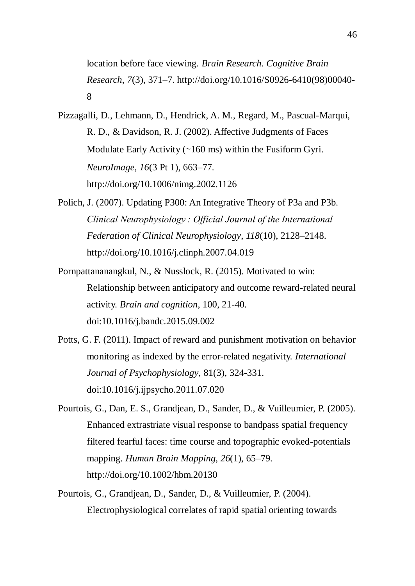location before face viewing. *Brain Research. Cognitive Brain Research*, *7*(3), 371–7. http://doi.org/10.1016/S0926-6410(98)00040- 8

- Pizzagalli, D., Lehmann, D., Hendrick, A. M., Regard, M., Pascual-Marqui, R. D., & Davidson, R. J. (2002). Affective Judgments of Faces Modulate Early Activity (∼160 ms) within the Fusiform Gyri. *NeuroImage*, *16*(3 Pt 1), 663–77. http://doi.org/10.1006/nimg.2002.1126
- Polich, J. (2007). Updating P300: An Integrative Theory of P3a and P3b. *Clinical Neurophysiology : Official Journal of the International Federation of Clinical Neurophysiology*, *118*(10), 2128–2148. http://doi.org/10.1016/j.clinph.2007.04.019
- Pornpattananangkul, N., & Nusslock, R. (2015). Motivated to win: Relationship between anticipatory and outcome reward-related neural activity. *Brain and cognition*, 100, 21-40. doi:10.1016/j.bandc.2015.09.002
- Potts, G. F. (2011). Impact of reward and punishment motivation on behavior monitoring as indexed by the error-related negativity. *International Journal of Psychophysiology*, 81(3), 324-331. doi:10.1016/j.ijpsycho.2011.07.020
- Pourtois, G., Dan, E. S., Grandjean, D., Sander, D., & Vuilleumier, P. (2005). Enhanced extrastriate visual response to bandpass spatial frequency filtered fearful faces: time course and topographic evoked-potentials mapping. *Human Brain Mapping*, *26*(1), 65–79. http://doi.org/10.1002/hbm.20130
- Pourtois, G., Grandjean, D., Sander, D., & Vuilleumier, P. (2004). Electrophysiological correlates of rapid spatial orienting towards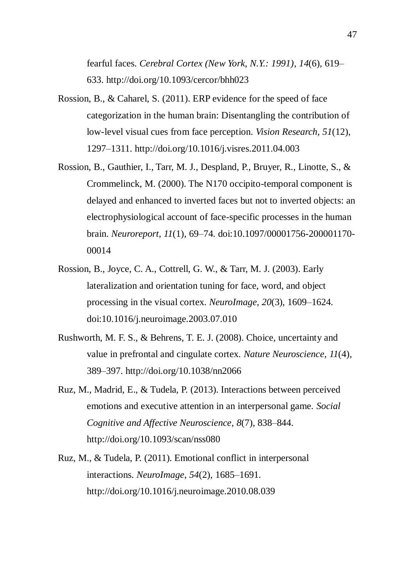fearful faces. *Cerebral Cortex (New York, N.Y.: 1991)*, *14*(6), 619– 633. http://doi.org/10.1093/cercor/bhh023

- Rossion, B., & Caharel, S. (2011). ERP evidence for the speed of face categorization in the human brain: Disentangling the contribution of low-level visual cues from face perception. *Vision Research*, *51*(12), 1297–1311. http://doi.org/10.1016/j.visres.2011.04.003
- Rossion, B., Gauthier, I., Tarr, M. J., Despland, P., Bruyer, R., Linotte, S., & Crommelinck, M. (2000). The N170 occipito-temporal component is delayed and enhanced to inverted faces but not to inverted objects: an electrophysiological account of face-specific processes in the human brain. *Neuroreport*, *11*(1), 69–74. doi:10.1097/00001756-200001170- 00014
- Rossion, B., Joyce, C. A., Cottrell, G. W., & Tarr, M. J. (2003). Early lateralization and orientation tuning for face, word, and object processing in the visual cortex. *NeuroImage*, *20*(3), 1609–1624. doi:10.1016/j.neuroimage.2003.07.010
- Rushworth, M. F. S., & Behrens, T. E. J. (2008). Choice, uncertainty and value in prefrontal and cingulate cortex. *Nature Neuroscience*, *11*(4), 389–397. http://doi.org/10.1038/nn2066
- Ruz, M., Madrid, E., & Tudela, P. (2013). Interactions between perceived emotions and executive attention in an interpersonal game. *Social Cognitive and Affective Neuroscience*, *8*(7), 838–844. http://doi.org/10.1093/scan/nss080
- Ruz, M., & Tudela, P. (2011). Emotional conflict in interpersonal interactions. *NeuroImage*, *54*(2), 1685–1691. http://doi.org/10.1016/j.neuroimage.2010.08.039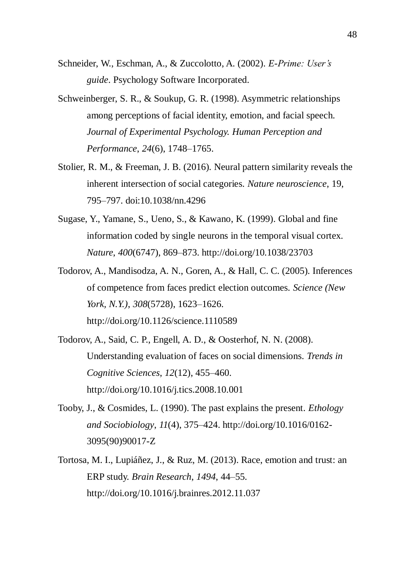- Schneider, W., Eschman, A., & Zuccolotto, A. (2002). *E-Prime: User's guide*. Psychology Software Incorporated.
- Schweinberger, S. R., & Soukup, G. R. (1998). Asymmetric relationships among perceptions of facial identity, emotion, and facial speech. *Journal of Experimental Psychology. Human Perception and Performance*, *24*(6), 1748–1765.
- Stolier, R. M., & Freeman, J. B. (2016). Neural pattern similarity reveals the inherent intersection of social categories. *Nature neuroscience*, 19, 795–797. doi:10.1038/nn.4296
- Sugase, Y., Yamane, S., Ueno, S., & Kawano, K. (1999). Global and fine information coded by single neurons in the temporal visual cortex. *Nature*, *400*(6747), 869–873. http://doi.org/10.1038/23703
- Todorov, A., Mandisodza, A. N., Goren, A., & Hall, C. C. (2005). Inferences of competence from faces predict election outcomes. *Science (New York, N.Y.)*, *308*(5728), 1623–1626. http://doi.org/10.1126/science.1110589
- Todorov, A., Said, C. P., Engell, A. D., & Oosterhof, N. N. (2008). Understanding evaluation of faces on social dimensions. *Trends in Cognitive Sciences*, *12*(12), 455–460. http://doi.org/10.1016/j.tics.2008.10.001
- Tooby, J., & Cosmides, L. (1990). The past explains the present. *Ethology and Sociobiology*, *11*(4), 375–424. http://doi.org/10.1016/0162- 3095(90)90017-Z
- Tortosa, M. I., Lupiáñez, J., & Ruz, M. (2013). Race, emotion and trust: an ERP study. *Brain Research*, *1494*, 44–55. http://doi.org/10.1016/j.brainres.2012.11.037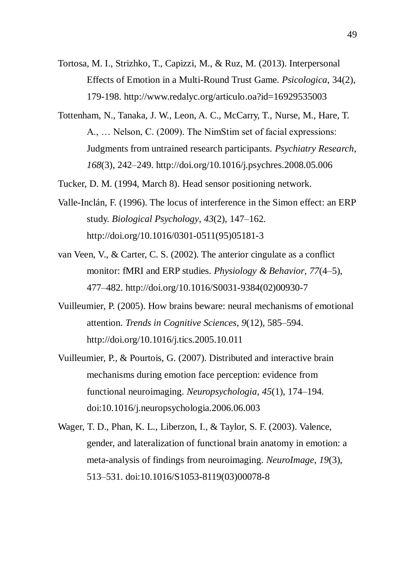- Tortosa, M. I., Strizhko, T., Capizzi, M., & Ruz, M. (2013). Interpersonal Effects of Emotion in a Multi-Round Trust Game. *Psicologica*, 34(2), 179-198. http://www.redalyc.org/articulo.oa?id=16929535003
- Tottenham, N., Tanaka, J. W., Leon, A. C., McCarry, T., Nurse, M., Hare, T. A., … Nelson, C. (2009). The NimStim set of facial expressions: Judgments from untrained research participants. *Psychiatry Research*, *168*(3), 242–249. http://doi.org/10.1016/j.psychres.2008.05.006
- Tucker, D. M. (1994, March 8). Head sensor positioning network.
- Valle-Inclán, F. (1996). The locus of interference in the Simon effect: an ERP study. *Biological Psychology*, *43*(2), 147–162. http://doi.org/10.1016/0301-0511(95)05181-3
- van Veen, V., & Carter, C. S. (2002). The anterior cingulate as a conflict monitor: fMRI and ERP studies. *Physiology & Behavior*, *77*(4–5), 477–482. http://doi.org/10.1016/S0031-9384(02)00930-7
- Vuilleumier, P. (2005). How brains beware: neural mechanisms of emotional attention. *Trends in Cognitive Sciences*, *9*(12), 585–594. http://doi.org/10.1016/j.tics.2005.10.011
- Vuilleumier, P., & Pourtois, G. (2007). Distributed and interactive brain mechanisms during emotion face perception: evidence from functional neuroimaging. *Neuropsychologia*, *45*(1), 174–194. doi:10.1016/j.neuropsychologia.2006.06.003
- Wager, T. D., Phan, K. L., Liberzon, I., & Taylor, S. F. (2003). Valence, gender, and lateralization of functional brain anatomy in emotion: a meta-analysis of findings from neuroimaging. *NeuroImage*, *19*(3), 513–531. doi:10.1016/S1053-8119(03)00078-8